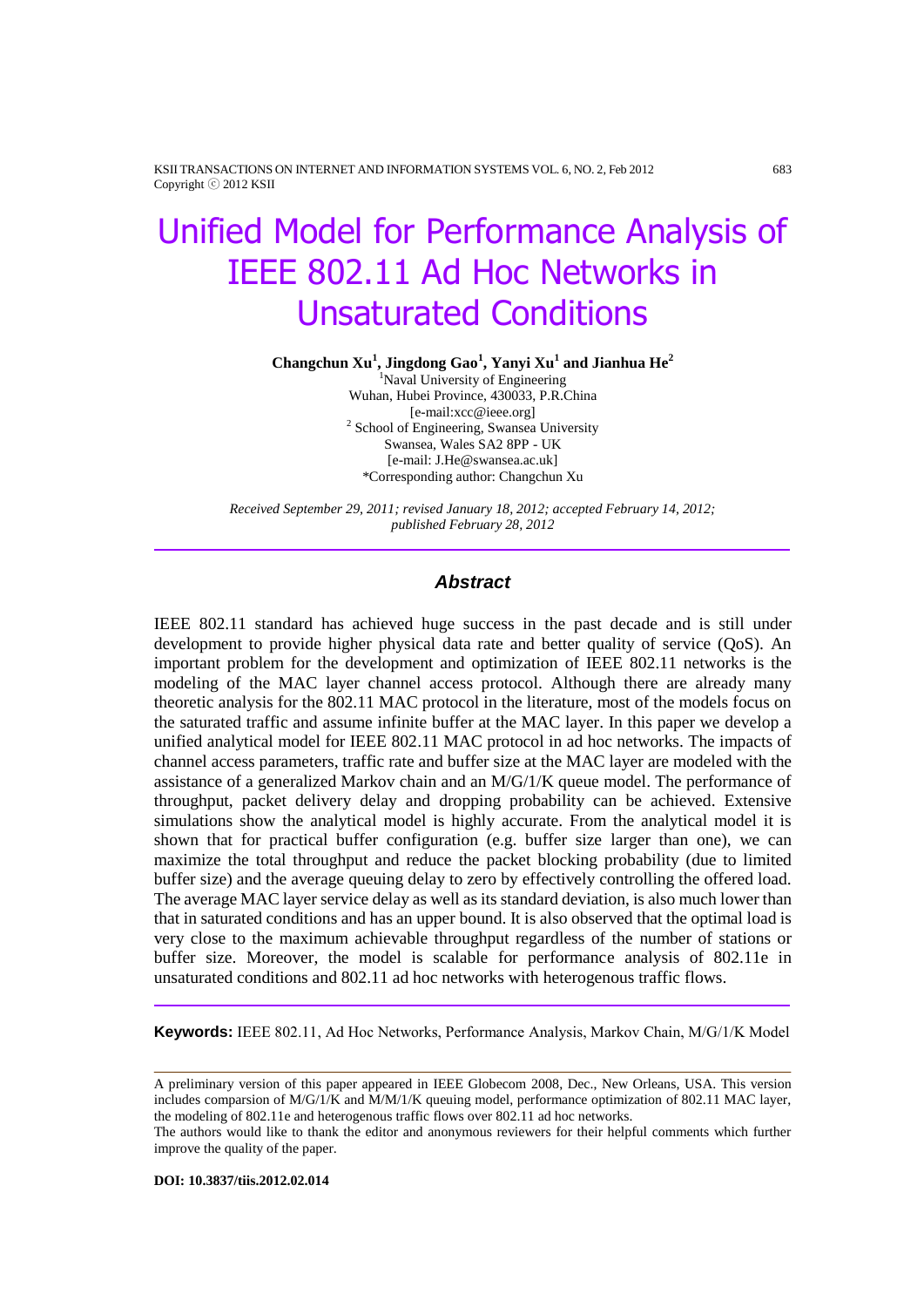KSII TRANSACTIONS ON INTERNET AND INFORMATION SYSTEMS VOL. 6, NO. 2, Feb 2012 683 Copyright ⓒ 2012 KSII

# Unified Model for Performance Analysis of IEEE 802.11 Ad Hoc Networks in Unsaturated Conditions

**Changchun Xu<sup>1</sup> , Jingdong Gao<sup>1</sup> , Yanyi Xu<sup>1</sup> and Jianhua He<sup>2</sup>**

<sup>1</sup>Naval University of Engineering Wuhan, Hubei Province, 430033, P.R.China [e-mail:xcc@ieee.org] <sup>2</sup> School of Engineering, Swansea University Swansea, Wales SA2 8PP - UK [e-mail[: J.He@swansea.ac.uk\]](mailto:J.He@swansea.ac.uk) \*Corresponding author: Changchun Xu

*Received September 29, 2011; revised January 18, 2012; accepted February 14, 2012; published February 28, 2012*

#### *Abstract*

IEEE 802.11 standard has achieved huge success in the past decade and is still under development to provide higher physical data rate and better quality of service (QoS). An important problem for the development and optimization of IEEE 802.11 networks is the modeling of the MAC layer channel access protocol. Although there are already many theoretic analysis for the 802.11 MAC protocol in the literature, most of the models focus on the saturated traffic and assume infinite buffer at the MAC layer. In this paper we develop a unified analytical model for IEEE 802.11 MAC protocol in ad hoc networks. The impacts of channel access parameters, traffic rate and buffer size at the MAC layer are modeled with the assistance of a generalized Markov chain and an M/G/1/K queue model. The performance of throughput, packet delivery delay and dropping probability can be achieved. Extensive simulations show the analytical model is highly accurate. From the analytical model it is shown that for practical buffer configuration (e.g. buffer size larger than one), we can maximize the total throughput and reduce the packet blocking probability (due to limited buffer size) and the average queuing delay to zero by effectively controlling the offered load. The average MAC layer service delay as well as its standard deviation, is also much lower than that in saturated conditions and has an upper bound. It is also observed that the optimal load is very close to the maximum achievable throughput regardless of the number of stations or buffer size. Moreover, the model is scalable for performance analysis of 802.11e in unsaturated conditions and 802.11 ad hoc networks with heterogenous traffic flows.

**Keywords:** IEEE 802.11, Ad Hoc Networks, Performance Analysis, Markov Chain, M/G/1/K Model

A preliminary version of this paper appeared in IEEE Globecom 2008, Dec., New Orleans, USA. This version includes comparsion of M/G/1/K and M/M/1/K queuing model, performance optimization of 802.11 MAC layer, the modeling of 802.11e and heterogenous traffic flows over 802.11 ad hoc networks.

**DOI: 10.3837/tiis.2012.02.014**

The authors would like to thank the editor and anonymous reviewers for their helpful comments which further improve the quality of the paper.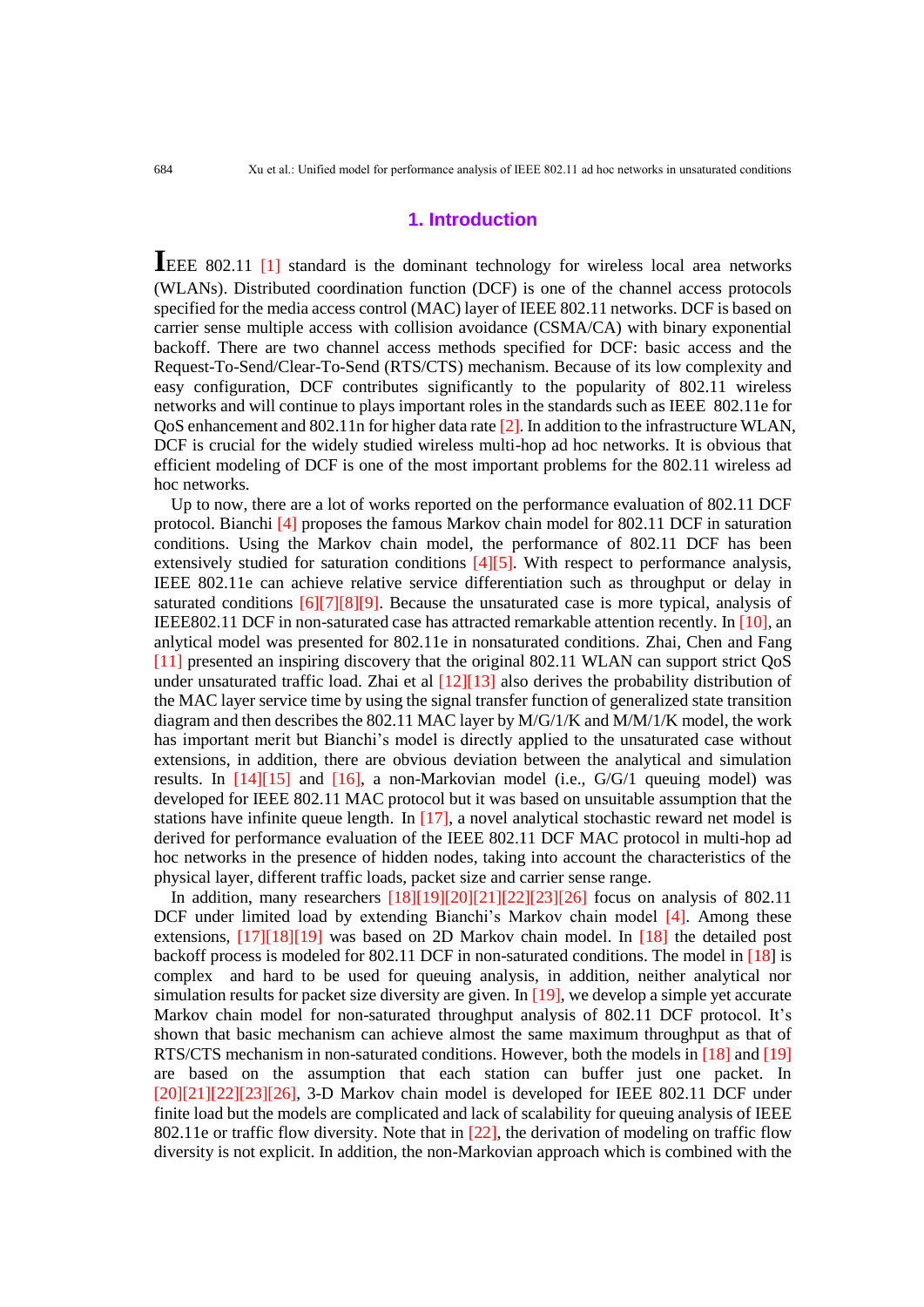# **1. Introduction**

**I**EEE 802.11 [1] standard is the dominant technology for wireless local area networks (WLANs). Distributed coordination function (DCF) is one of the channel access protocols specified for the media access control (MAC) layer of IEEE 802.11 networks. DCF is based on carrier sense multiple access with collision avoidance (CSMA/CA) with binary exponential backoff. There are two channel access methods specified for DCF: basic access and the Request-To-Send/Clear-To-Send (RTS/CTS) mechanism. Because of its low complexity and easy configuration, DCF contributes significantly to the popularity of 802.11 wireless networks and will continue to plays important roles in the standards such as IEEE 802.11e for QoS enhancement and 802.11n for higher data rate [2]. In addition to the infrastructure WLAN, DCF is crucial for the widely studied wireless multi-hop ad hoc networks. It is obvious that efficient modeling of DCF is one of the most important problems for the 802.11 wireless ad hoc networks.

Up to now, there are a lot of works reported on the performance evaluation of 802.11 DCF protocol. Bianchi [4] proposes the famous Markov chain model for 802.11 DCF in saturation conditions. Using the Markov chain model, the performance of 802.11 DCF has been extensively studied for saturation conditions [4][5]. With respect to performance analysis, IEEE 802.11e can achieve relative service differentiation such as throughput or delay in saturated conditions [6][7][8][9]. Because the unsaturated case is more typical, analysis of IEEE802.11 DCF in non-saturated case has attracted remarkable attention recently. In [10], an anlytical model was presented for 802.11e in nonsaturated conditions. Zhai, Chen and Fang [11] presented an inspiring discovery that the original 802.11 WLAN can support strict QoS under unsaturated traffic load. Zhai et al  $[12][13]$  also derives the probability distribution of the MAC layer service time by using the signal transfer function of generalized state transition diagram and then describes the 802.11 MAC layer by M/G/1/K and M/M/1/K model, the work has important merit but Bianchi's model is directly applied to the unsaturated case without extensions, in addition, there are obvious deviation between the analytical and simulation results. In  $[14][15]$  and  $[16]$ , a non-Markovian model (i.e.,  $G/G/1$  queuing model) was developed for IEEE 802.11 MAC protocol but it was based on unsuitable assumption that the stations have infinite queue length. In  $[17]$ , a novel analytical stochastic reward net model is derived for performance evaluation of the IEEE 802.11 DCF MAC protocol in multi-hop ad hoc networks in the presence of hidden nodes, taking into account the characteristics of the physical layer, different traffic loads, packet size and carrier sense range.

In addition, many researchers [18][19][20][21][22][23][26] focus on analysis of 802.11 DCF under limited load by extending Bianchi's Markov chain model [4]. Among these extensions, [17][18][19] was based on 2D Markov chain model. In [18] the detailed post backoff process is modeled for 802.11 DCF in non-saturated conditions. The model in [18] is complex and hard to be used for queuing analysis, in addition, neither analytical nor simulation results for packet size diversity are given. In [19], we develop a simple yet accurate Markov chain model for non-saturated throughput analysis of 802.11 DCF protocol. It's shown that basic mechanism can achieve almost the same maximum throughput as that of RTS/CTS mechanism in non-saturated conditions. However, both the models in [18] and [19] are based on the assumption that each station can buffer just one packet. In  $[20][21][22][23][26]$ , 3-D Markov chain model is developed for IEEE 802.11 DCF under finite load but the models are complicated and lack of scalability for queuing analysis of IEEE 802.11e or traffic flow diversity. Note that in [22], the derivation of modeling on traffic flow diversity is not explicit. In addition, the non-Markovian approach which is combined with the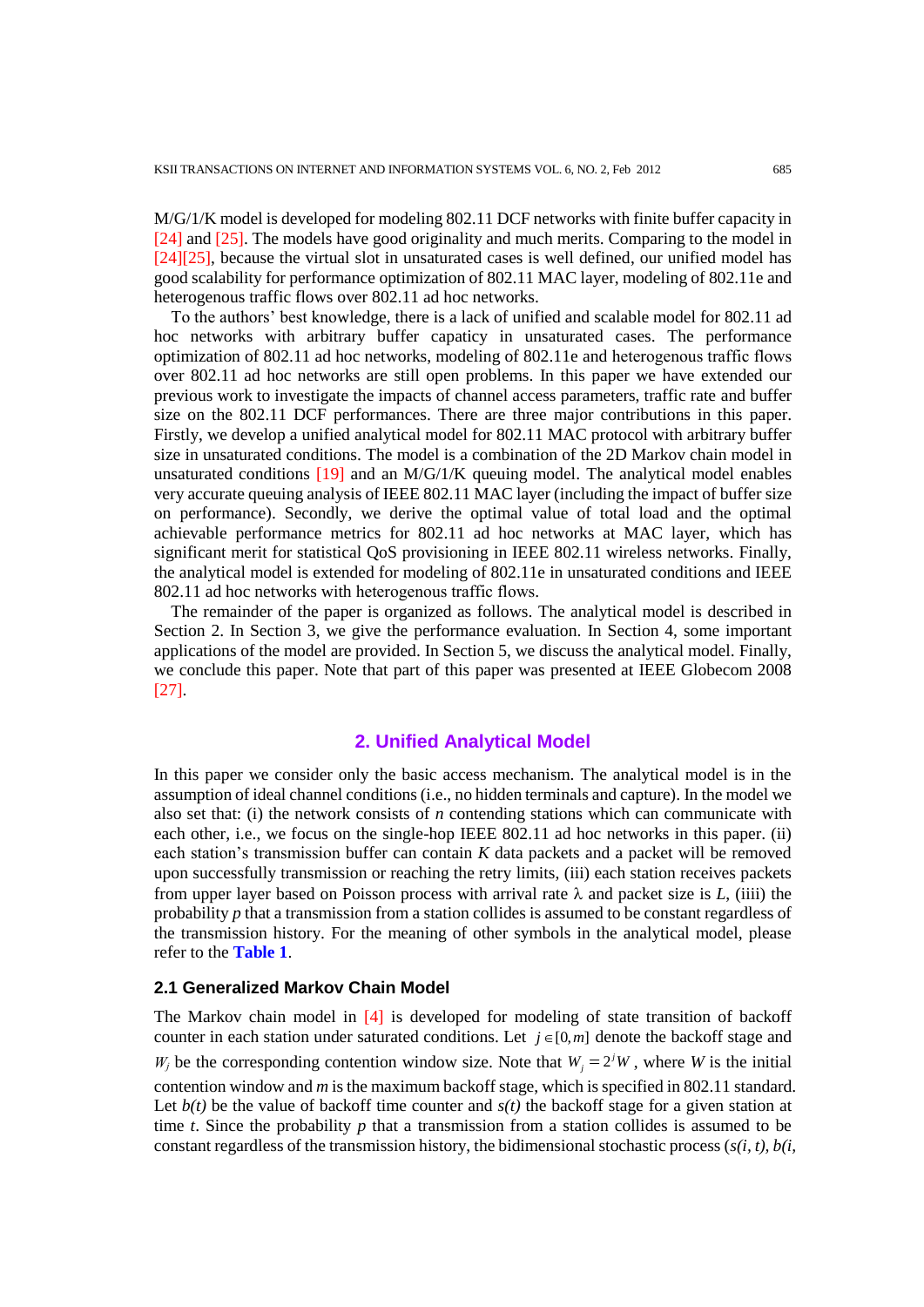M/G/1/K model is developed for modeling 802.11 DCF networks with finite buffer capacity in [24] and [25]. The models have good originality and much merits. Comparing to the model in [24][25], because the virtual slot in unsaturated cases is well defined, our unified model has good scalability for performance optimization of 802.11 MAC layer, modeling of 802.11e and heterogenous traffic flows over 802.11 ad hoc networks.

To the authors' best knowledge, there is a lack of unified and scalable model for 802.11 ad hoc networks with arbitrary buffer capaticy in unsaturated cases. The performance optimization of 802.11 ad hoc networks, modeling of 802.11e and heterogenous traffic flows over 802.11 ad hoc networks are still open problems. In this paper we have extended our previous work to investigate the impacts of channel access parameters, traffic rate and buffer size on the 802.11 DCF performances. There are three major contributions in this paper. Firstly, we develop a unified analytical model for 802.11 MAC protocol with arbitrary buffer size in unsaturated conditions. The model is a combination of the 2D Markov chain model in unsaturated conditions  $[19]$  and an M/G/1/K queuing model. The analytical model enables very accurate queuing analysis of IEEE 802.11 MAC layer (including the impact of buffer size on performance). Secondly, we derive the optimal value of total load and the optimal achievable performance metrics for 802.11 ad hoc networks at MAC layer, which has significant merit for statistical QoS provisioning in IEEE 802.11 wireless networks. Finally, the analytical model is extended for modeling of 802.11e in unsaturated conditions and IEEE 802.11 ad hoc networks with heterogenous traffic flows.

The remainder of the paper is organized as follows. The analytical model is described in Section 2. In Section 3, we give the performance evaluation. In Section 4, some important applications of the model are provided. In Section 5, we discuss the analytical model. Finally, we conclude this paper. Note that part of this paper was presented at IEEE Globecom 2008 [27].

# **2. Unified Analytical Model**

In this paper we consider only the basic access mechanism. The analytical model is in the assumption of ideal channel conditions (i.e., no hidden terminals and capture). In the model we also set that: (i) the network consists of *n* contending stations which can communicate with each other, i.e., we focus on the single-hop IEEE 802.11 ad hoc networks in this paper. (ii) each station's transmission buffer can contain *K* data packets and a packet will be removed upon successfully transmission or reaching the retry limits, (iii) each station receives packets from upper layer based on Poisson process with arrival rate  $\lambda$  and packet size is *L*, (iiii) the probability *p* that a transmission from a station collides is assumed to be constant regardless of the transmission history. For the meaning of other symbols in the analytical model, please refer to the **Table 1**.

#### **2.1 Generalized Markov Chain Model**

The Markov chain model in [4] is developed for modeling of state transition of backoff counter in each station under saturated conditions. Let  $j \in [0, m]$  denote the backoff stage and  $W_j$  be the corresponding contention window size. Note that  $W_j = 2^j W$ , where *W* is the initial contention window and *m* is the maximum backoff stage, which is specified in 802.11 standard. Let  $b(t)$  be the value of backoff time counter and  $s(t)$  the backoff stage for a given station at time *t*. Since the probability  $p$  that a transmission from a station collides is assumed to be constant regardless of the transmission history, the bidimensional stochastic process (*s(i, t), b(i,*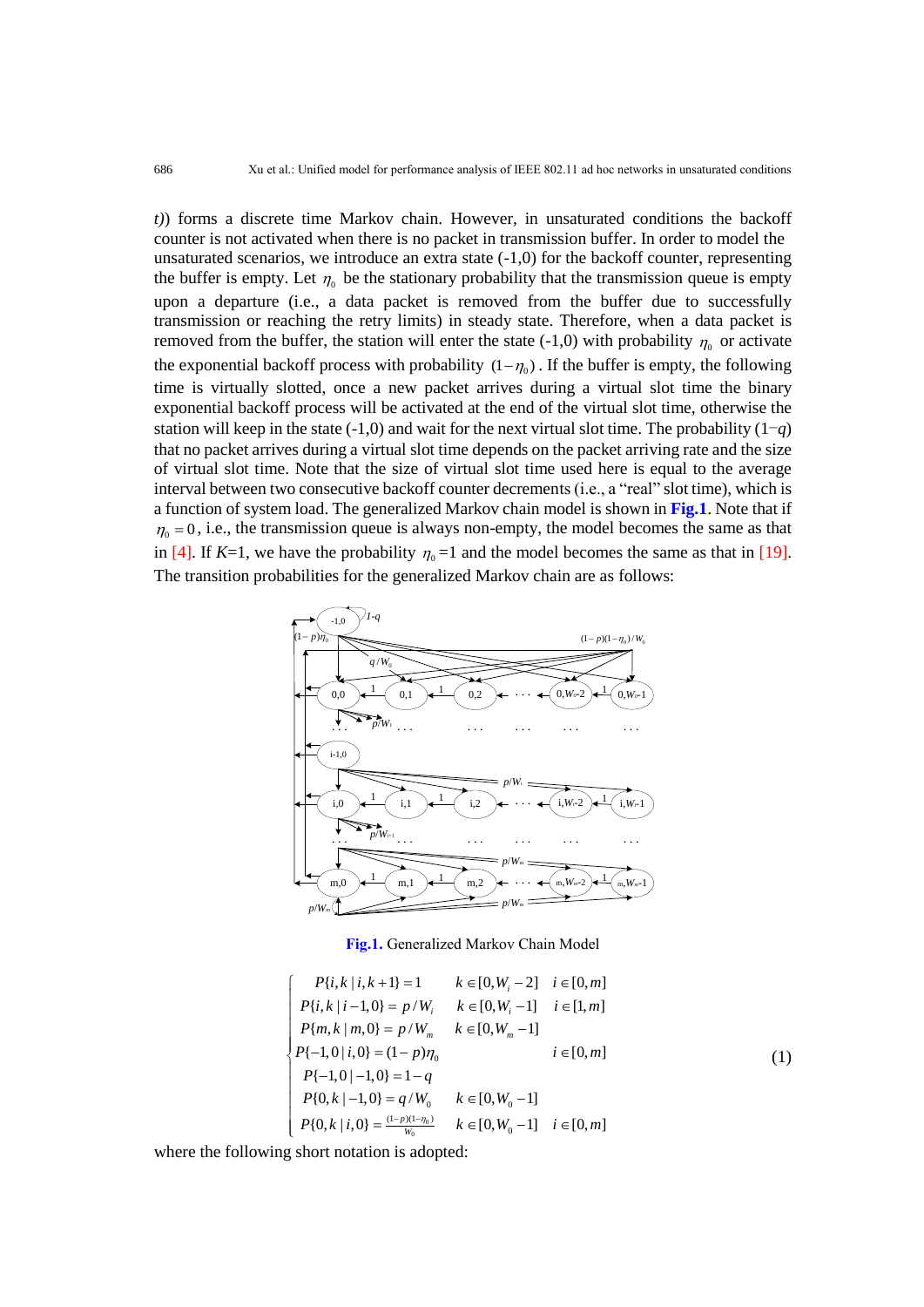*t)*) forms a discrete time Markov chain. However, in unsaturated conditions the backoff counter is not activated when there is no packet in transmission buffer. In order to model the unsaturated scenarios, we introduce an extra state  $(-1,0)$  for the backoff counter, representing the buffer is empty. Let  $\eta_0$  be the stationary probability that the transmission queue is empty upon a departure (i.e., a data packet is removed from the buffer due to successfully transmission or reaching the retry limits) in steady state. Therefore, when a data packet is removed from the buffer, the station will enter the state  $(-1,0)$  with probability  $\eta_0$  or activate the exponential backoff process with probability  $(1-\eta_0)$ . If the buffer is empty, the following time is virtually slotted, once a new packet arrives during a virtual slot time the binary exponential backoff process will be activated at the end of the virtual slot time, otherwise the station will keep in the state  $(-1,0)$  and wait for the next virtual slot time. The probability  $(1-q)$ that no packet arrives during a virtual slot time depends on the packet arriving rate and the size of virtual slot time. Note that the size of virtual slot time used here is equal to the average interval between two consecutive backoff counter decrements (i.e., a "real" slot time), which is a function of system load. The generalized Markov chain model is shown in **Fig.1**. Note that if  $\eta_0 = 0$ , i.e., the transmission queue is always non-empty, the model becomes the same as that in [4]. If *K*=1, we have the probability  $\eta_0 = 1$  and the model becomes the same as that in [19]. The transition probabilities for the generalized Markov chain are as follows:



**Fig.1.** Generalized Markov Chain Model

$$
\begin{cases}\nP\{i,k \mid i,k+1\} = 1 & k \in [0, W_i - 2] \quad i \in [0, m] \\
P\{i,k \mid i-1,0\} = p/W_i & k \in [0, W_i - 1] \quad i \in [1, m] \\
P\{m, k \mid m, 0\} = p/W_m & k \in [0, W_m - 1] \\
P\{-1,0 \mid i,0\} = (1-p)\eta_0 & i \in [0, m] \\
P\{-1,0 \mid -1,0\} = 1-q \\
P\{0,k \mid -1,0\} = q/W_0 & k \in [0, W_0 - 1] \\
P\{0,k \mid i,0\} = \frac{(1-p)(1-\eta_0)}{W_0} & k \in [0, W_0 - 1] \quad i \in [0, m]\n\end{cases}
$$
\n(1)

where the following short notation is adopted: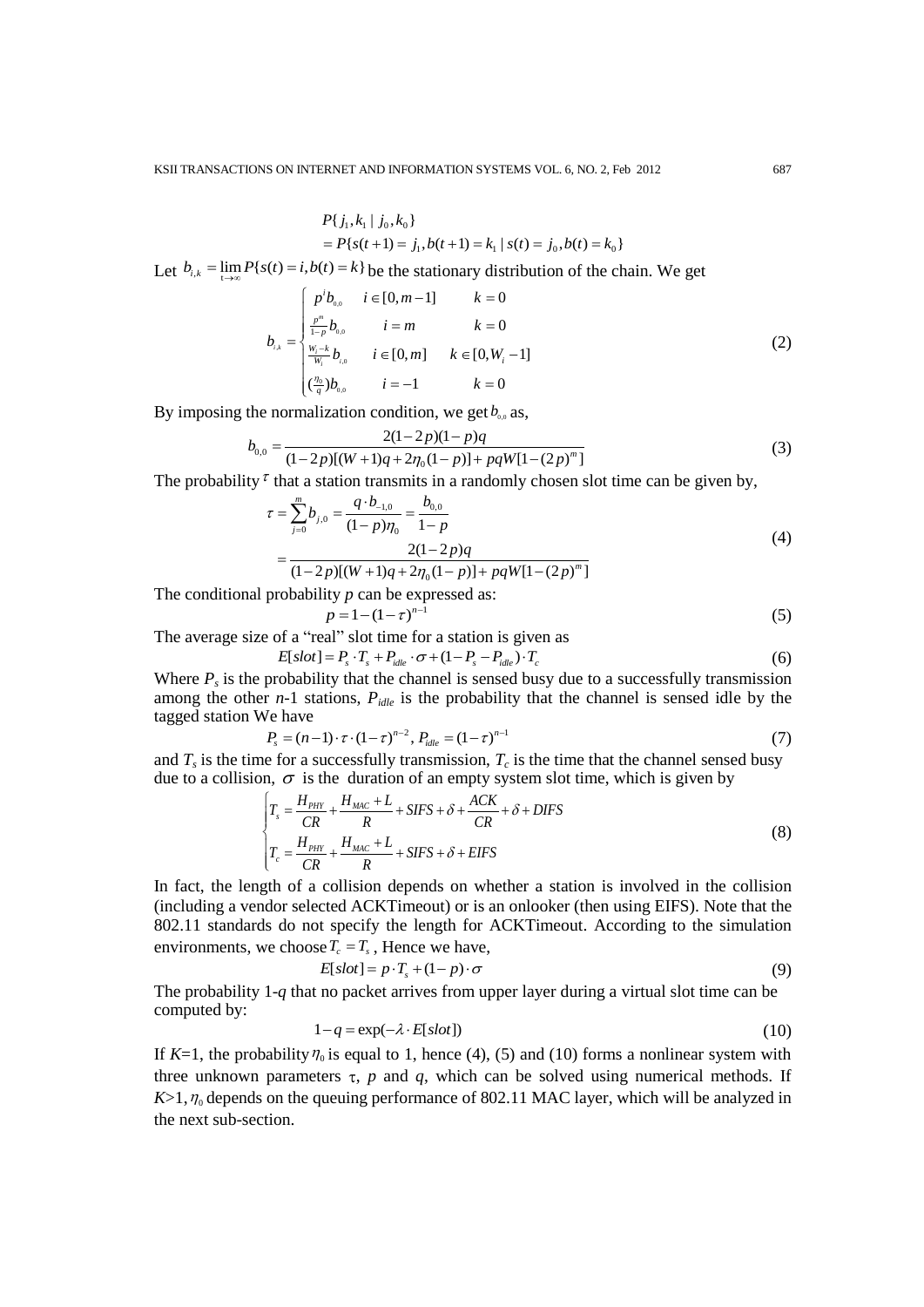$$
P\{j_1, k_1 | j_0, k_0\}
$$
  
=  $P\{s(t+1) = j_1, b(t+1) = k_1 | s(t) = j_0, b(t) = k_0\}$ 

Let 
$$
b_{i,k} = \lim_{t \to \infty} P\{s(t) = i, b(t) = k\}
$$
 be the stationary distribution of the chain. We get\n
$$
b_{i,k} = \begin{cases} p^i b_{0,0} & i \in [0, m-1] \\ \frac{p^m}{1-p} b_{0,0} & i = m \\ \frac{w_i - k}{w_i} b_{i,0} & i \in [0, m] \\ \frac{w_i - k}{w_i} b_{i,0} & i = -1 \end{cases} \quad k = 0 \tag{2}
$$

By imposing the normalization condition, we get 
$$
b_{0.0}
$$
 as,  
\n
$$
b_{0.0} = \frac{2(1-2p)(1-p)q}{(1-2p)[(W+1)q+2\eta_0(1-p)]+pqW[1-(2p)^m]}
$$
\n(3)

The probability 
$$
\tau
$$
 that a station transmits in a randomly chosen slot time can be given by,  
\n
$$
\tau = \sum_{j=0}^{m} b_{j,0} = \frac{q \cdot b_{-1,0}}{(1-p)\eta_0} = \frac{b_{0,0}}{1-p}
$$
\n
$$
= \frac{2(1-2p)q}{(1-p)q}
$$
\n(4)

$$
= \frac{2(1-2p)q}{(1-2p)[(W+1)q+2\eta_0(1-p)]+pqW[1-(2p)^m]}
$$

The conditional probability *p* can be expressed as:

$$
p = 1 - (1 - \tau)^{n-1}
$$
 (5)

The average size of a "real" slot time for a station is given as  
\n
$$
E[slot] = P_s \cdot T_s + P_{idle} \cdot \sigma + (1 - P_s - P_{idle}) \cdot T_c
$$
\n(6)

Where  $P_s$  is the probability that the channel is sensed busy due to a successfully transmission among the other *n*-1 stations,  $P_{idle}$  is the probability that the channel is sensed idle by the tagged station We have

We have  

$$
P_s = (n-1) \cdot \tau \cdot (1-\tau)^{n-2}, P_{idle} = (1-\tau)^{n-1}
$$
(7)

and  $T_s$  is the time for a successfully transmission,  $T_c$  is the time that the channel sensed busy

due to a collision, 
$$
\sigma
$$
 is the duration of an empty system slot time, which is given by\n
$$
\int T_s = \frac{H_{PHY}}{CR} + \frac{H_{MAC} + L}{R} + SIFS + \delta + \frac{ACK}{CR} + \delta + DIFS
$$
\n
$$
T_c = \frac{H_{PHY}}{CR} + \frac{H_{MAC} + L}{R} + SIFS + \delta + EIFS
$$
\n(8)

In fact, the length of a collision depends on whether a station is involved in the collision (including a vendor selected ACKTimeout) or is an onlooker (then using EIFS). Note that the 802.11 standards do not specify the length for ACKTimeout. According to the simulation environments, we choose  $T_c = T_s$ , Hence we have,

$$
E[slot] = p \cdot T_s + (1-p) \cdot \sigma \tag{9}
$$

The probability 1-*q* that no packet arrives from upper layer during a virtual slot time can be computed by:

$$
1 - q = \exp(-\lambda \cdot E[\text{slot}]) \tag{10}
$$

If  $K=1$ , the probability  $\eta_0$  is equal to 1, hence (4), (5) and (10) forms a nonlinear system with three unknown parameters  $\tau$ ,  $p$  and  $q$ , which can be solved using numerical methods. If  $K > 1$ ,  $\eta_0$  depends on the queuing performance of 802.11 MAC layer, which will be analyzed in the next sub-section.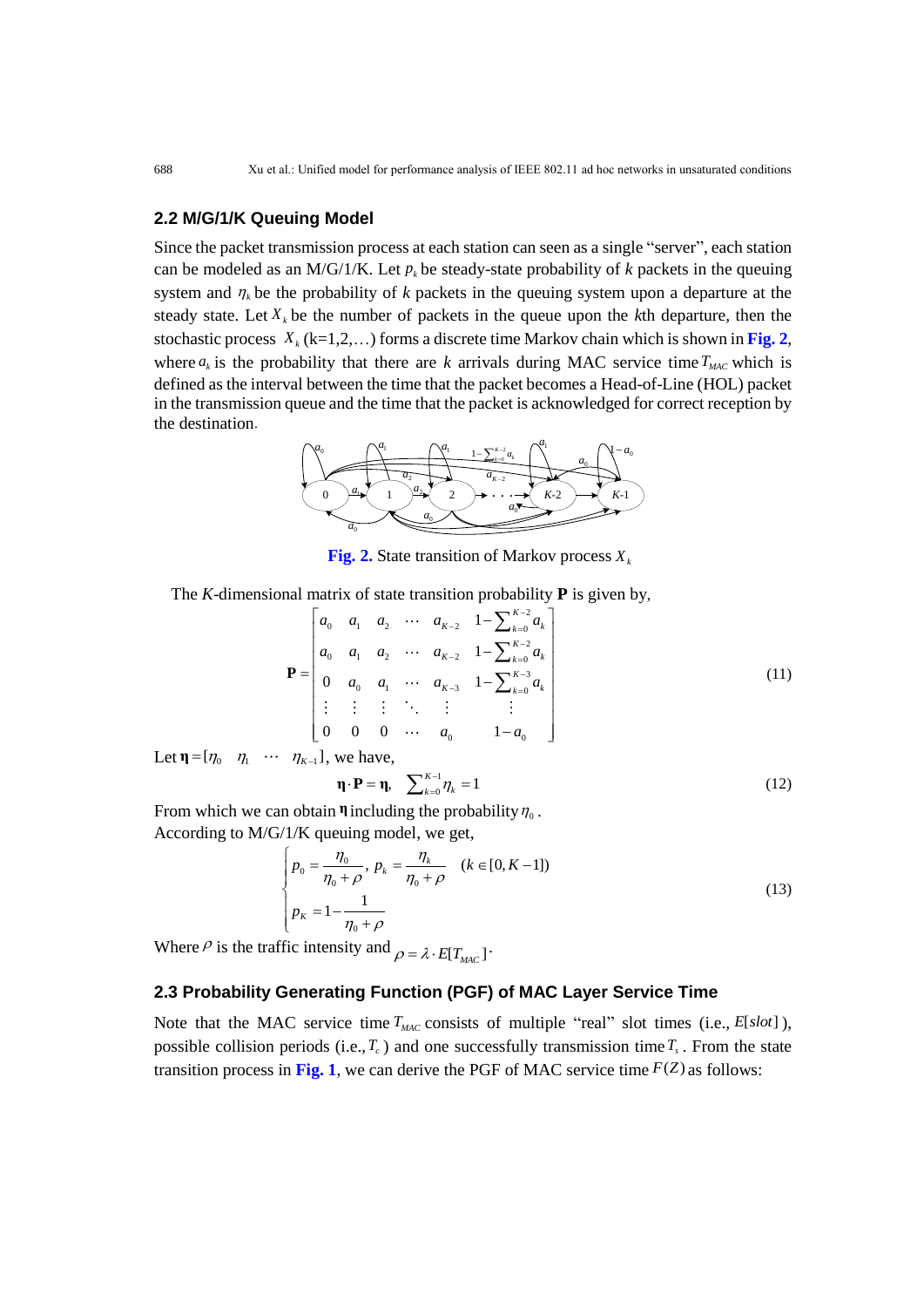# **2.2 M/G/1/K Queuing Model**

Since the packet transmission process at each station can seen as a single "server", each station can be modeled as an M/G/1/K. Let  $p_k$  be steady-state probability of  $k$  packets in the queuing system and  $\eta_k$  be the probability of *k* packets in the queuing system upon a departure at the steady state. Let  $X_k$  be the number of packets in the queue upon the  $k$ th departure, then the stochastic process *Xk* (k=1,2,…) forms a discrete time Markov chain which is shown in **Fig. 2**, where  $a_k$  is the probability that there are *k* arrivals during MAC service time  $T_{MAC}$  which is defined as the interval between the time that the packet becomes a Head-of-Line (HOL) packet in the transmission queue and the time that the packet is acknowledged for correct reception by the destination.



**Fig. 2.** State transition of Markov process *Xk*

The K-dimensional matrix of state transition probability **P** is given by,  
\n
$$
\mathbf{P} = \begin{bmatrix}\na_0 & a_1 & a_2 & \cdots & a_{K-2} & 1 - \sum_{k=0}^{K-2} a_k \\
a_0 & a_1 & a_2 & \cdots & a_{K-2} & 1 - \sum_{k=0}^{K-2} a_k \\
0 & a_0 & a_1 & \cdots & a_{K-3} & 1 - \sum_{k=0}^{K-3} a_k \\
\vdots & \vdots & \vdots & \ddots & \vdots & \vdots \\
0 & 0 & 0 & \cdots & a_0 & 1 - a_0\n\end{bmatrix}
$$
\n(11)

Let  $\eta = [\eta_0 \quad \eta_1 \quad \cdots \quad \eta_{K-1}]$ , we have,

$$
\mathbf{\eta} \cdot \mathbf{P} = \mathbf{\eta}, \quad \sum_{k=0}^{K-1} \eta_k = 1 \tag{12}
$$

From which we can obtain  $\eta$  including the probability  $\eta_0$ . According to M/G/1/K queuing model, we get,<br> $\int_{R_1} - \frac{\eta_0}{n} = \frac{\eta_k}{\eta_k} = \frac{(\mu_k - \eta_k)}{(\mu_k - \eta_k)}$ 

$$
\begin{cases}\n p_0 = \frac{\eta_0}{\eta_0 + \rho}, \ p_k = \frac{\eta_k}{\eta_0 + \rho} \quad (k \in [0, K - 1]) \\
 p_K = 1 - \frac{1}{\eta_0 + \rho}\n\end{cases}
$$
\n(13)

Where  $\rho$  is the traffic intensity and  $\rho = \lambda \cdot E[T_{MAC}]$ .

# **2.3 Probability Generating Function (PGF) of MAC Layer Service Time**

Note that the MAC service time  $T_{MAC}$  consists of multiple "real" slot times (i.e.,  $E[slot]$ ), possible collision periods (i.e.,  $T_c$ ) and one successfully transmission time  $T_s$ . From the state transition process in Fig. 1, we can derive the PGF of MAC service time  $F(Z)$  as follows: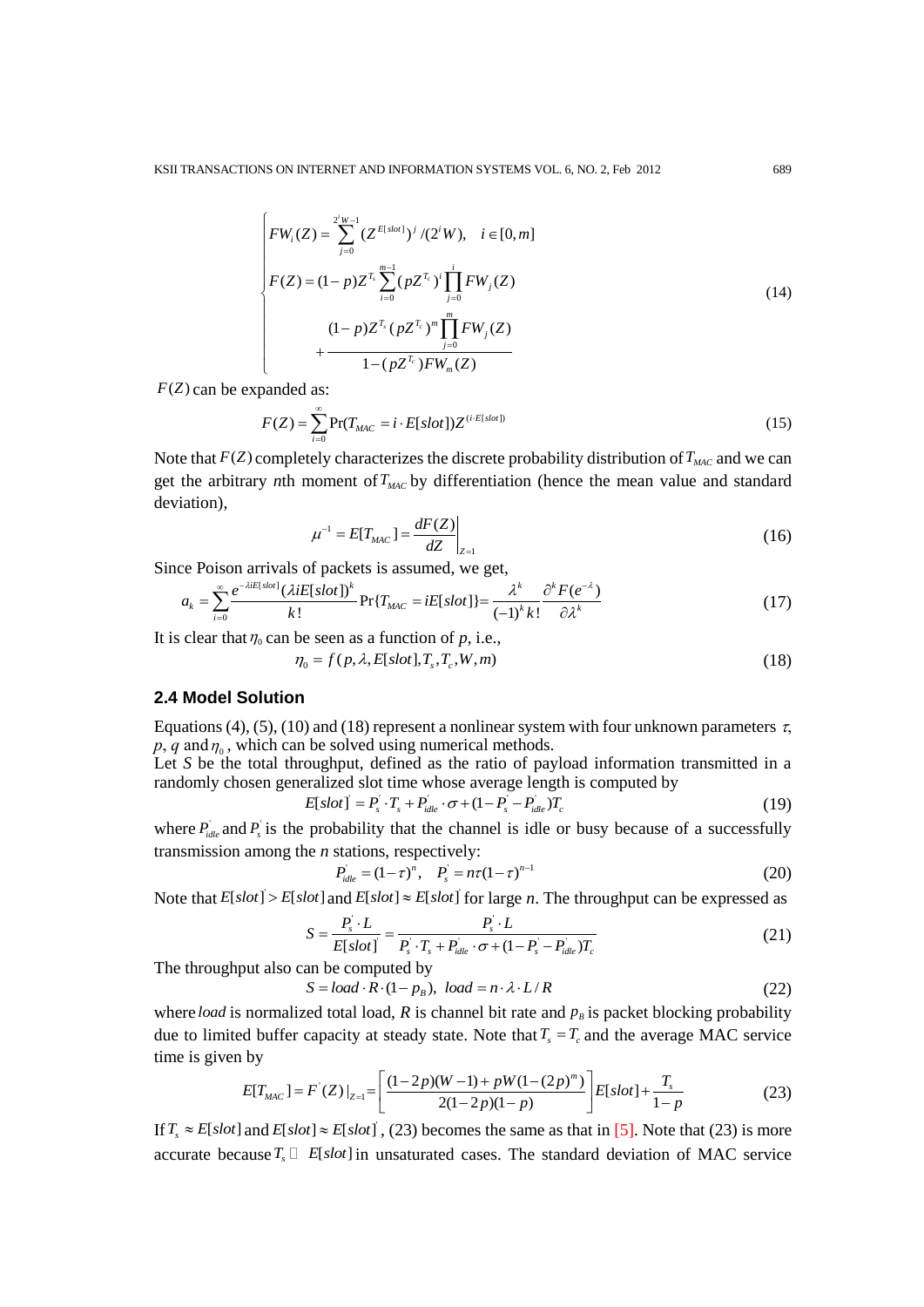$$
\begin{cases}\nFW_i(Z) = \sum_{j=0}^{2^i W - 1} (Z^{E[slot]})^j / (2^i W), & i \in [0, m] \\
F(Z) = (1 - p) Z^{T_i} \sum_{i=0}^{m-1} (p Z^{T_c})^i \prod_{j=0}^i FW_j(Z) \\
(1 - p) Z^{T_i} (p Z^{T_c})^m \prod_{j=0}^m FW_j(Z) \\
+ \frac{(1 - p) Z^{T_i} (p Z^{T_c})^m \prod_{j=0}^m FW_j(Z)}{1 - (p Z^{T_c})^F W_m(Z)}\n\end{cases} \tag{14}
$$

 $F(Z)$  can be expanded as:

$$
F(Z) = \sum_{i=0}^{\infty} \Pr(T_{MAC} = i \cdot E[slot]) Z^{(i \cdot E[slot])}
$$
\n(15)

Note that  $F(Z)$  completely characterizes the discrete probability distribution of  $T_{MAC}$  and we can get the arbitrary *n*th moment of *TMAC* by differentiation (hence the mean value and standard deviation),

$$
\mu^{-1} = E[T_{MAC}] = \frac{dF(Z)}{dZ}\bigg|_{Z=1}
$$
\n(16)

Since Poison arrivals of packets is assumed, we get,<br>  $\sum_{i=1}^{\infty} e^{-\lambda i E[slot]} (\lambda i E[slot])^k$  $\hat{E}^{E[slot]}(\lambda iE[slot])^k$   $\sum_{r=1}^{\lambda}$  *iE*  $slot$   $\lambda^k$  *o*<sup>k</sup>

$$
\frac{dZ}{dz}\Big|_{Z=1}
$$
\nce Poison arrivals of packets is assumed, we get,

\n
$$
a_k = \sum_{i=0}^{\infty} \frac{e^{-\lambda i E[sot]} (\lambda i E[sot])^k}{k!} \Pr\{T_{MAC} = i E[sot]\} = \frac{\lambda^k}{(-1)^k k!} \frac{\partial^k F(e^{-\lambda})}{\partial \lambda^k}
$$
\n(17)

It is clear that  $\eta_0$  can be seen as a function of *p*, i.e.,<br>  $\eta_0 = f(p, \lambda, E[slot], T_s, T_c, W, m)$ 

$$
\eta_0 = f(p, \lambda, E[slot], T_s, T_c, W, m)
$$
\n(18)

## **2.4 Model Solution**

Equations (4), (5), (10) and (18) represent a nonlinear system with four unknown parameters  $\tau$ ,  $p$ ,  $q$  and  $\eta$ <sub>0</sub>, which can be solved using numerical methods.

Let *S* be the total throughput, defined as the ratio of payload information transmitted in a randomly chosen generalized slot time whose average length is computed by<br>  $E[slot] = P_s \cdot T_s + P_{idle} \cdot \sigma + (1 - P_s - P_{idle})T_c$  (19)

$$
E[slot] = P_s \cdot T_s + P_{idle} \cdot \sigma + (1 - P_s - P_{idle})T_c \tag{19}
$$

where  $P_{idle}$  and  $P_s$  is the probability that the channel is idle or busy because of a successfully transmission among the *n* stations, respectively:<br> $P_{idle} = (1 - \tau)^n$ ,  $P_s = n\tau(1 - \tau)^{n-1}$ 

$$
P_{idle} = (1 - \tau)^n, \quad P_s = n\tau (1 - \tau)^{n-1}
$$
\n(20)

Note that 
$$
E[slot] > E[slot]
$$
 and  $E[slot] \approx E[slot]$  for large *n*. The throughput can be expressed as\n
$$
S = \frac{P_s \cdot L}{E[slot]} = \frac{P_s \cdot L}{P_s \cdot T_s + P_{idle} \cdot \sigma + (1 - P_s - P_{idle})T_c}
$$
\n(21)

The throughput also can be computed by<br>  $S = load \cdot R \cdot (1 - p_B)$ ,  $load = n \cdot \lambda \cdot L$ 

an be computed by  
\n
$$
S = load \cdot R \cdot (1 - p_B), load = n \cdot \lambda \cdot L / R
$$
 (22)

where *load* is normalized total load,  $R$  is channel bit rate and  $p<sub>B</sub>$  is packet blocking probability due to limited buffer capacity at steady state. Note that  $T_s = T_c$  and the average MAC service<br>time is given by<br> $E[T_{MAC}] = F'(Z)|_{Z=1} = \left[ \frac{(1-2p)(W-1)+pW(1-(2p)^m)}{2(1-2p)(1-p)} \right] E[slot] + \frac{T_s}{1-p}$  (23) time is given by

n by  
\n
$$
E[T_{MAC}] = F'(Z)|_{Z=1} = \left[ \frac{(1-2p)(W-1) + pW(1-(2p)^m)}{2(1-2p)(1-p)} \right] E[slot] + \frac{T_s}{1-p}
$$
\n(23)

If  $T_s \approx E[slot]$  and  $E[slot] \approx E[slot]$ , (23) becomes the same as that in [\[5\].](#page-16-0) Note that (23) is more accurate because  $T_s \Box$  *E*[slot] in unsaturated cases. The standard deviation of MAC service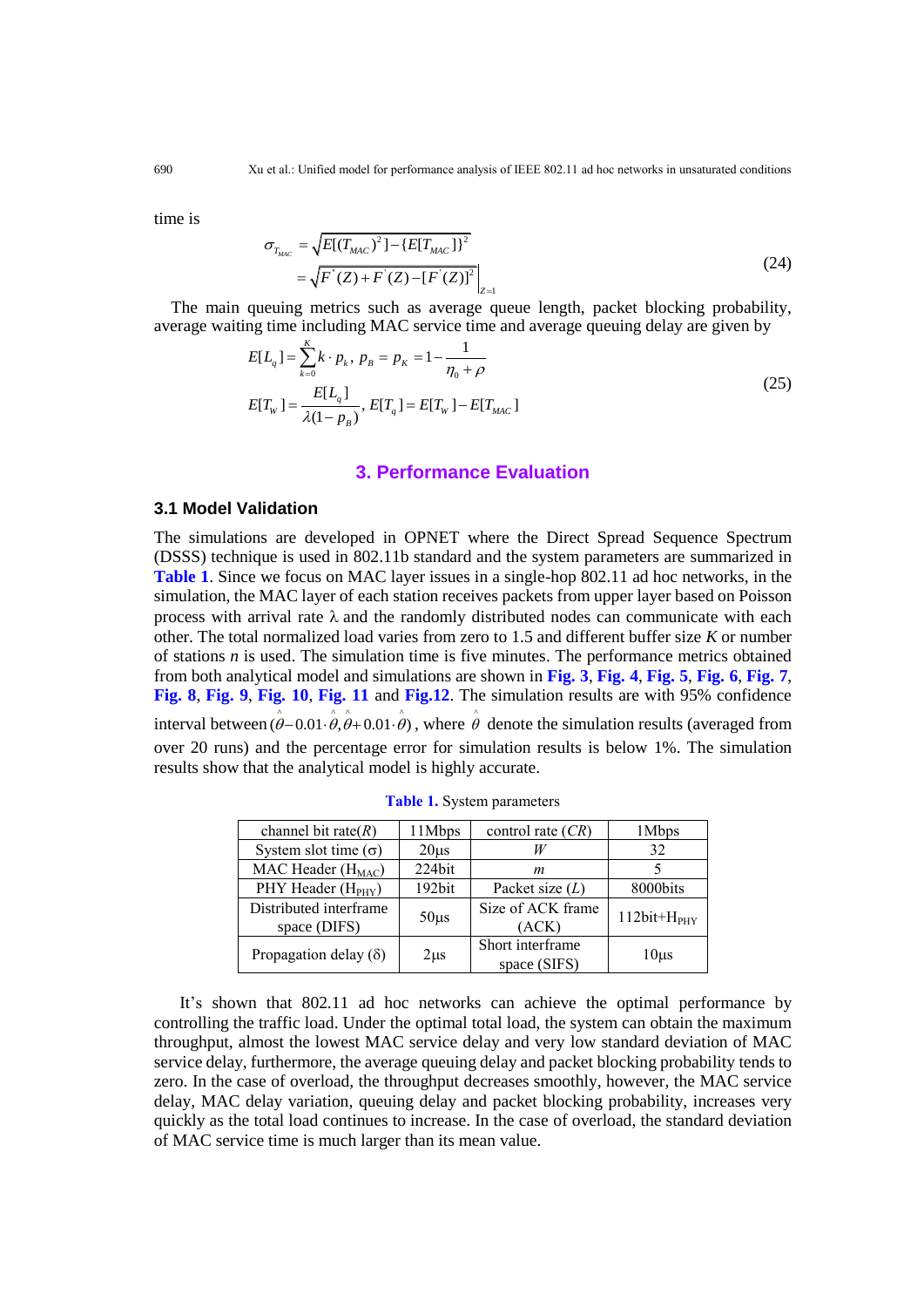time is

$$
\sigma_{T_{MAC}} = \sqrt{E[(T_{MAC})^2] - \{E[T_{MAC}]\}^2}
$$
\n
$$
= \sqrt{F[(Z) + F[(Z) - [F[(Z)]]^2]}\Big|_{Z=1}
$$
\n(24)

The main queuing metrics such as average queue length, packet blocking probability, average waiting time including MAC service time and average queuing delay are given by

$$
E[L_q] = \sum_{k=0}^{K} k \cdot p_k, \ p_B = p_K = 1 - \frac{1}{\eta_0 + \rho}
$$
  
\n
$$
E[T_w] = \frac{E[L_q]}{\lambda(1 - p_B)}, \ E[T_q] = E[T_w] - E[T_{MAC}]
$$
\n(25)

## **3. Performance Evaluation**

# **3.1 Model Validation**

The simulations are developed in OPNET where the Direct Spread Sequence Spectrum (DSSS) technique is used in 802.11b standard and the system parameters are summarized in **Table 1**. Since we focus on MAC layer issues in a single-hop 802.11 ad hoc networks, in the simulation, the MAC layer of each station receives packets from upper layer based on Poisson process with arrival rate  $\lambda$  and the randomly distributed nodes can communicate with each other. The total normalized load varies from zero to 1.5 and different buffer size *K* or number of stations *n* is used. The simulation time is five minutes. The performance metrics obtained from both analytical model and simulations are shown in **Fig. 3**, **Fig. 4**, **Fig. 5**, **Fig. 6**, **Fig. 7**, **Fig. 8**, **Fig. 9**, **Fig. 10**, **Fig. 11** and **Fig.12**. The simulation results are with 95% confidence interval between  $(\hat{\theta} - 0.01 \cdot \hat{\theta}, \hat{\theta} + 0.01 \cdot \hat{\theta})$ , where  $\hat{\theta}$  denote the simulation results (averaged from over 20 runs) and the percentage error for simulation results is below 1%. The simulation results show that the analytical model is highly accurate.

| channel bit rate $(R)$         | 11Mbps    | control rate $(CR)$ | 1 Mbps        |  |
|--------------------------------|-----------|---------------------|---------------|--|
| System slot time $(\sigma)$    | $20\mu s$ | W                   | 32            |  |
| MAC Header $(H_{MAC})$         | 224bit    | m                   |               |  |
| PHY Header (H <sub>PHY</sub> ) | 192bit    | Packet size $(L)$   | 8000bits      |  |
| Distributed interframe         | $50\mu s$ | Size of ACK frame   | $112bit+HPHY$ |  |
| space (DIFS)                   |           | (ACK)               |               |  |
| Propagation delay $(\delta)$   |           | Short interframe    |               |  |
|                                | $2\mu s$  | space (SIFS)        | $10\mu s$     |  |

**Table 1.** System parameters

It's shown that 802.11 ad hoc networks can achieve the optimal performance by controlling the traffic load. Under the optimal total load, the system can obtain the maximum throughput, almost the lowest MAC service delay and very low standard deviation of MAC service delay, furthermore, the average queuing delay and packet blocking probability tends to zero. In the case of overload, the throughput decreases smoothly, however, the MAC service delay, MAC delay variation, queuing delay and packet blocking probability, increases very quickly as the total load continues to increase. In the case of overload, the standard deviation of MAC service time is much larger than its mean value.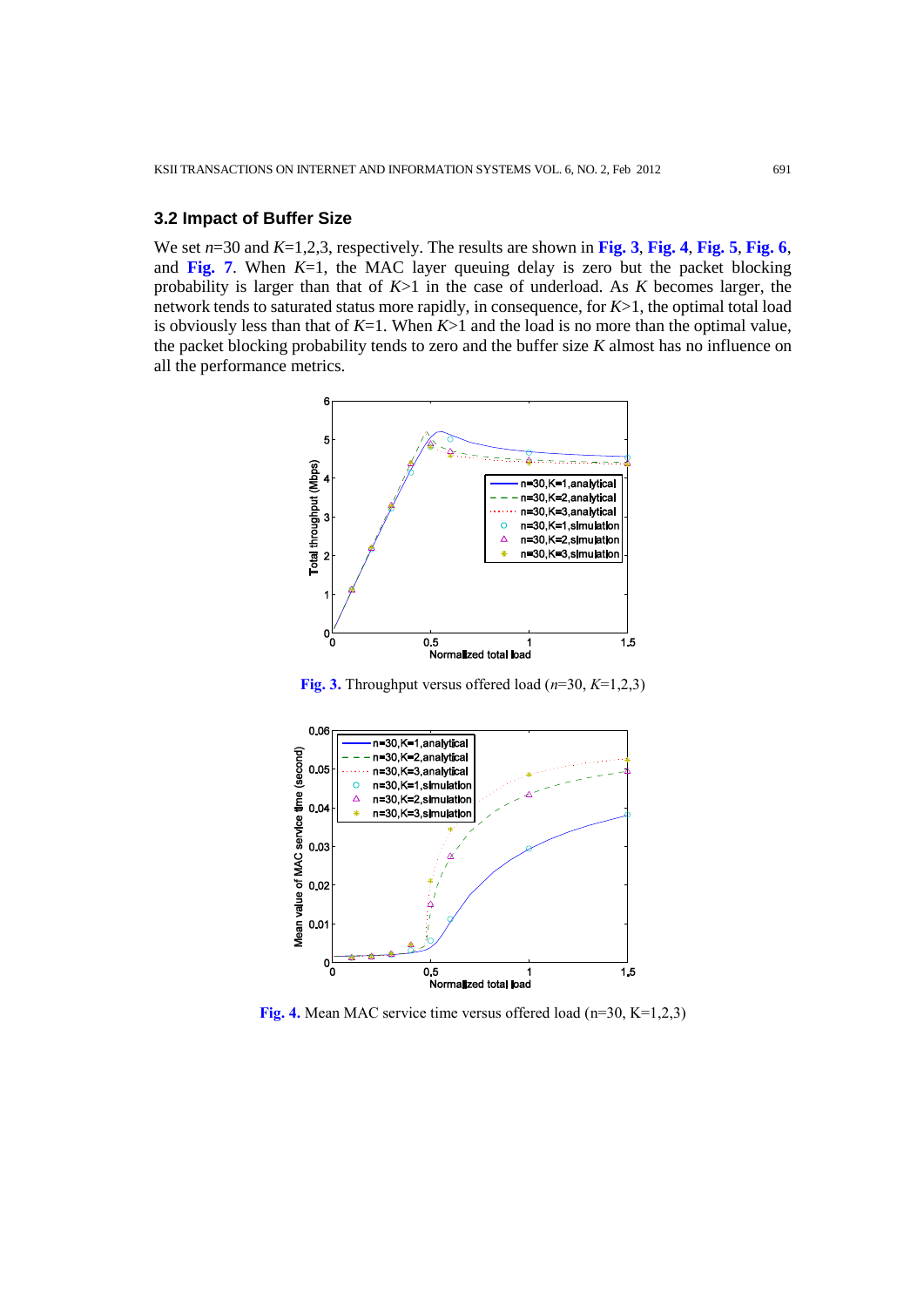#### **3.2 Impact of Buffer Size**

We set *n*=30 and *K*=1,2,3, respectively. The results are shown in **Fig. 3**, **Fig. 4**, **Fig. 5**, **Fig. 6**, and **Fig.** 7. When  $K=1$ , the MAC layer queuing delay is zero but the packet blocking probability is larger than that of *K*>1 in the case of underload. As *K* becomes larger, the network tends to saturated status more rapidly, in consequence, for *K*>1, the optimal total load is obviously less than that of *K*=1. When *K*>1 and the load is no more than the optimal value, the packet blocking probability tends to zero and the buffer size *K* almost has no influence on all the performance metrics.



**Fig. 3.** Throughput versus offered load (*n*=30, *K*=1,2,3)



**Fig. 4.** Mean MAC service time versus offered load (n=30, K=1,2,3)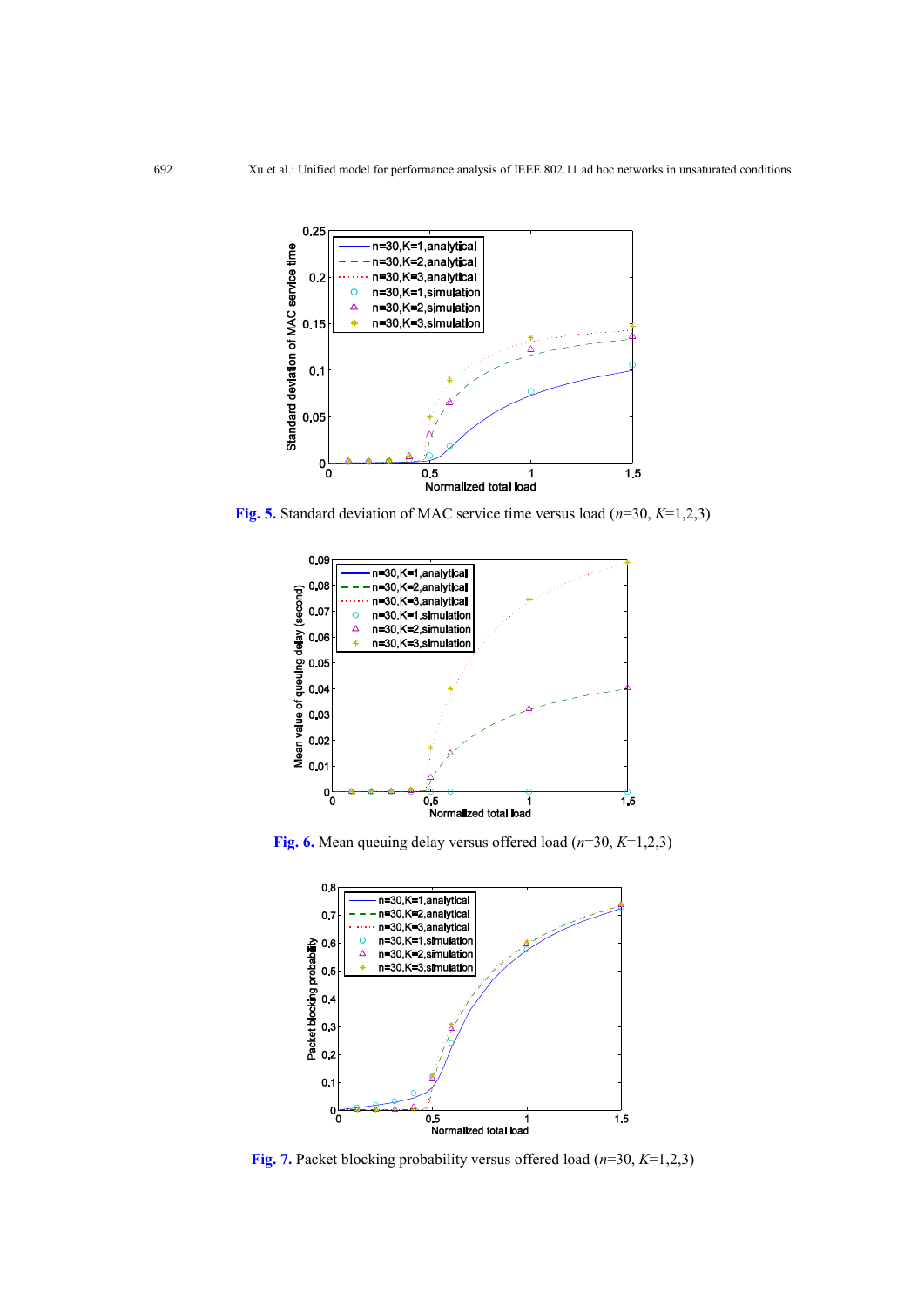

**Fig. 5.** Standard deviation of MAC service time versus load (*n*=30, *K*=1,2,3)



**Fig. 6.** Mean queuing delay versus offered load (*n*=30, *K*=1,2,3)



**Fig. 7.** Packet blocking probability versus offered load (*n*=30, *K*=1,2,3)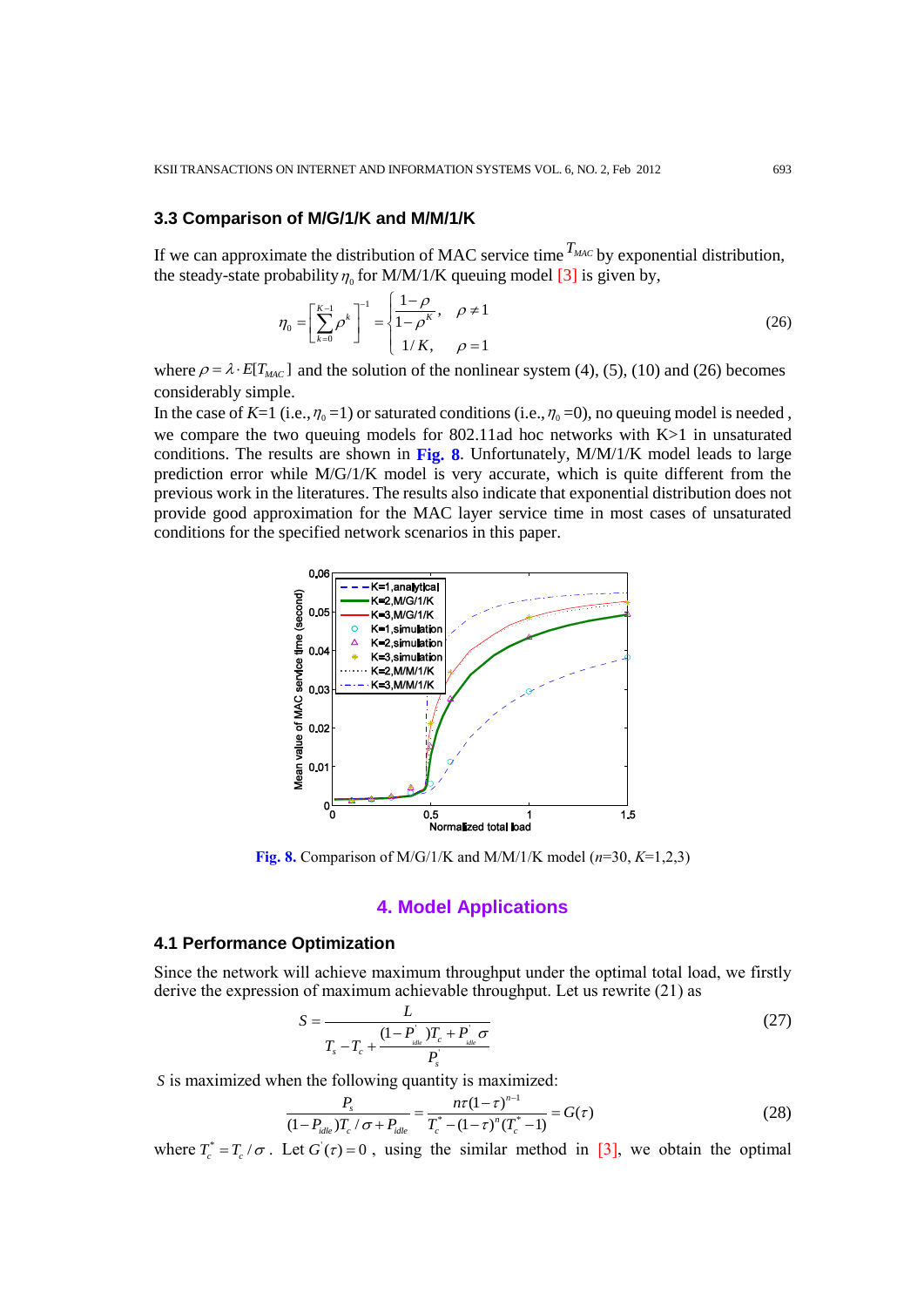#### **3.3 Comparison of M/G/1/K and M/M/1/K**

If we can approximate the distribution of MAC service time  $T_{MAC}$  by exponential distribution, the steady-state probability  $\eta_0$  for M/M/1/K queuing model [\[3\]](#page-16-1) is given by,

$$
\eta_0 = \left[\sum_{k=0}^{K-1} \rho^k\right]^{-1} = \begin{cases} \frac{1-\rho}{1-\rho^K}, & \rho \neq 1\\ 1/K, & \rho = 1 \end{cases}
$$
 (26)

where  $\rho = \lambda \cdot E[T_{MAC}]$  and the solution of the nonlinear system (4), (5), (10) and (26) becomes considerably simple.

In the case of  $K=1$  (i.e.,  $\eta_0=1$ ) or saturated conditions (i.e.,  $\eta_0=0$ ), no queuing model is needed, we compare the two queuing models for 802.11ad hoc networks with K>1 in unsaturated conditions. The results are shown in **Fig. 8**. Unfortunately, M/M/1/K model leads to large prediction error while M/G/1/K model is very accurate, which is quite different from the previous work in the literatures. The results also indicate that exponential distribution does not provide good approximation for the MAC layer service time in most cases of unsaturated conditions for the specified network scenarios in this paper.



**Fig. 8.** Comparison of M/G/1/K and M/M/1/K model (*n*=30, *K*=1,2,3)

### **4. Model Applications**

## **4.1 Performance Optimization**

Since the network will achieve maximum throughput under the optimal total load, we firstly derive the expression of maximum achievable throughput. Let us rewrite (21) as

$$
S = \frac{L}{T_s - T_c + \frac{(1 - P_{\text{idle}})T_c + P_{\text{idle}}\sigma}{P_s}}
$$
(27)

S is maximized when the following quantity is maximized:  
\n
$$
\frac{P_s}{(1 - P_{idle})T_c / \sigma + P_{idle}} = \frac{n\tau(1 - \tau)^{n-1}}{T_c^* - (1 - \tau)^n (T_c^* - 1)} = G(\tau)
$$
\n(28)

where  $T_c^* = T_c / \sigma$ . Let  $G(\tau) = 0$ , using the similar method in [\[3\],](#page-16-1) we obtain the optimal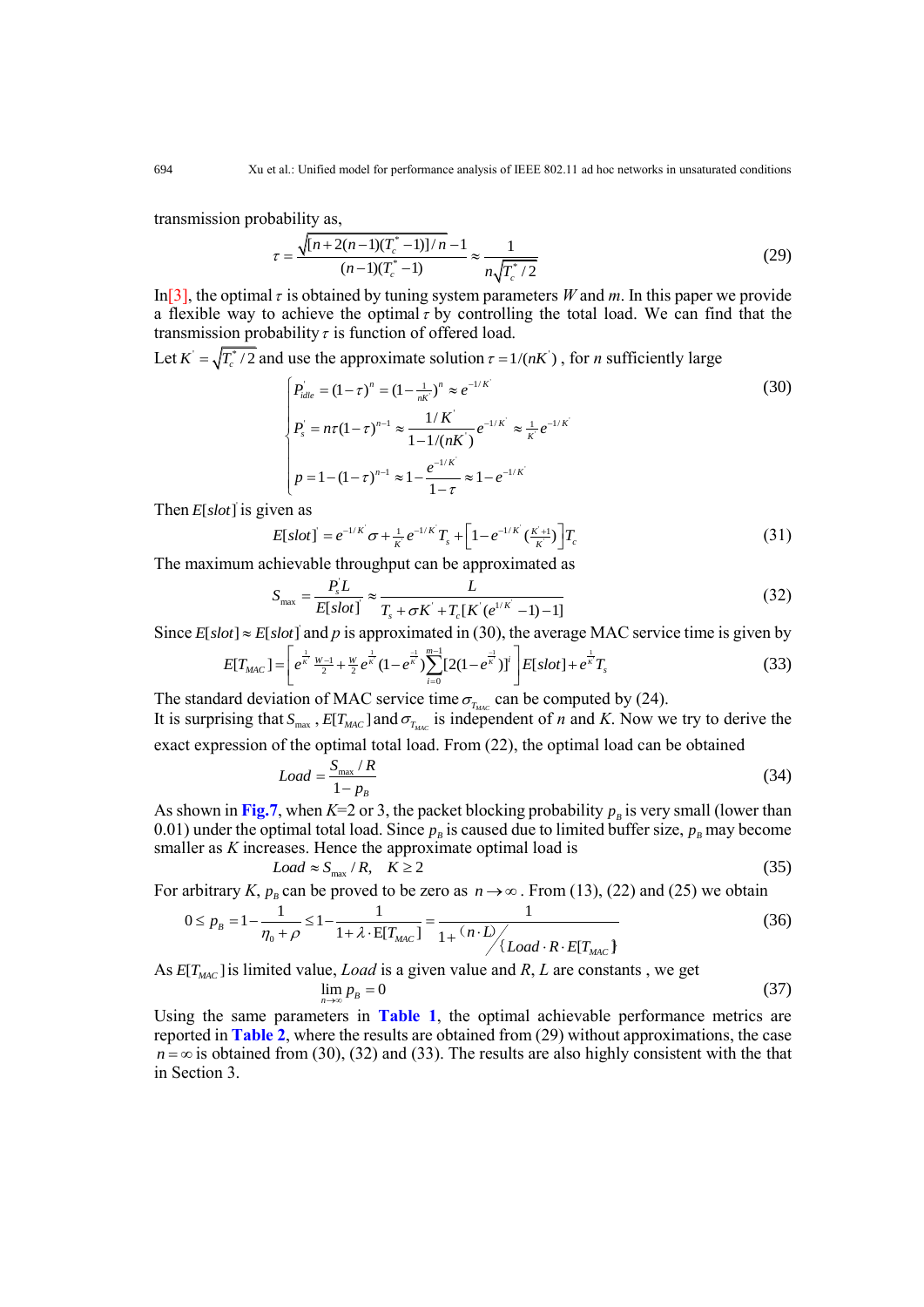transmission probability as,

 $\overline{\mathbf{r}}$ 

$$
= \frac{\sqrt{[n+2(n-1)(T_c^*-1)]/n} - 1}{(n-1)(T_c^*-1)} \approx \frac{1}{n\sqrt{T_c^*/2}}
$$
(29)

In<sup>[3]</sup>, the optimal  $\tau$  is obtained by tuning system parameters *W* and *m*. In this paper we provide a flexible way to achieve the optimal  $\tau$  by controlling the total load. We can find that the transmission probability  $\tau$  is function of offered load.

Let  $K' = \sqrt{T_c^* / 2}$  and use the approximate solution  $\tau = 1/(nK')$ , for *n* sufficiently large<br>  $\left[ P_{idle} = (1 - \tau)^n = (1 - \frac{1}{nk'})^n \approx e^{-1/K'} \right]$ 

$$
\begin{cases}\nP_{idle} = (1 - \tau)^n = (1 - \frac{1}{n\kappa})^n \approx e^{-1/\kappa'} \\
P_s = n\tau (1 - \tau)^{n-1} \approx \frac{1/K}{1 - 1/(nK)} e^{-1/\kappa'} \approx \frac{1}{\kappa'} e^{-1/\kappa'} \\
p = 1 - (1 - \tau)^{n-1} \approx 1 - \frac{e^{-1/\kappa'}}{1 - \tau} \approx 1 - e^{-1/\kappa'}\n\end{cases} (30)
$$

Then  $E[slot]$  is given as

ven as  
\n
$$
E[slot] = e^{-1/K} \sigma + \frac{1}{K} e^{-1/K} T_s + \left[1 - e^{-1/K} \left(\frac{K+1}{K}\right) \right] T_c
$$
\n(31)

The maximum achievable throughput can be approximated as  
\n
$$
S_{\text{max}} = \frac{P_s^t L}{E[slot]} \approx \frac{L}{T_s + \sigma K^t + T_c[K^t(e^{1/K^t} - 1) - 1]}
$$
\n(32)

Since 
$$
E[slot] \approx E[slot]
$$
 and p is approximated in (30), the average MAC service time is given by  
\n
$$
E[T_{MAC}] = \left[ e^{\frac{1}{\kappa} \frac{W-1}{2} + \frac{W}{2} e^{\frac{1}{\kappa}} (1 - e^{\frac{-1}{\kappa}}) \sum_{i=0}^{m-1} [2(1 - e^{\frac{-1}{\kappa}})]^i \right] E[slot] + e^{\frac{1}{\kappa}} T_s
$$
\n(33)

The standard deviation of MAC service time  $\sigma_{T_{MAC}}$  can be computed by (24). It is surprising that  $S_{\text{max}}$ ,  $E[T_{\text{MAC}}]$  and  $\sigma_{T_{\text{MAC}}}$  is independent of *n* and *K*. Now we try to derive the exact expression of the optimal total load. From (22), the optimal load can be obtained

$$
Load = \frac{S_{\text{max}}/R}{1 - p_B}
$$
 (34)

As shown in Fig.7, when  $K=2$  or 3, the packet blocking probability  $p<sub>B</sub>$  is very small (lower than 0.01) under the optimal total load. Since  $p<sub>B</sub>$  is caused due to limited buffer size,  $p<sub>B</sub>$  may become smaller as *K* increases. Hence the approximate optimal load is

$$
Load \approx S_{\text{max}} / R, \quad K \ge 2 \tag{35}
$$

For arbitrary *K*,  $p_B$  can be proved to be zero as  $n \to \infty$ . From (13), (22) and (25) we obtain

$$
Load \approx S_{max} / R, \quad K \ge 2
$$
\n
$$
0 \le p_B = 1 - \frac{1}{\eta_0 + \rho} \le 1 - \frac{1}{1 + \lambda \cdot E[T_{MAC}]} = \frac{1}{1 + \frac{(n \cdot D)}{\lambda \cdot E[T_{MAC}]} \tag{36}
$$

As  $E[T_{MAC}]$  is limited value, *Load* is a given value and *R*, *L* are constants, we get

*n*

$$
\lim_{n \to \infty} p_B = 0 \tag{37}
$$

Using the same parameters in **Table 1**, the optimal achievable performance metrics are reported in **Table 2**, where the results are obtained from (29) without approximations, the case  $n = \infty$  is obtained from (30), (32) and (33). The results are also highly consistent with the that in Section 3.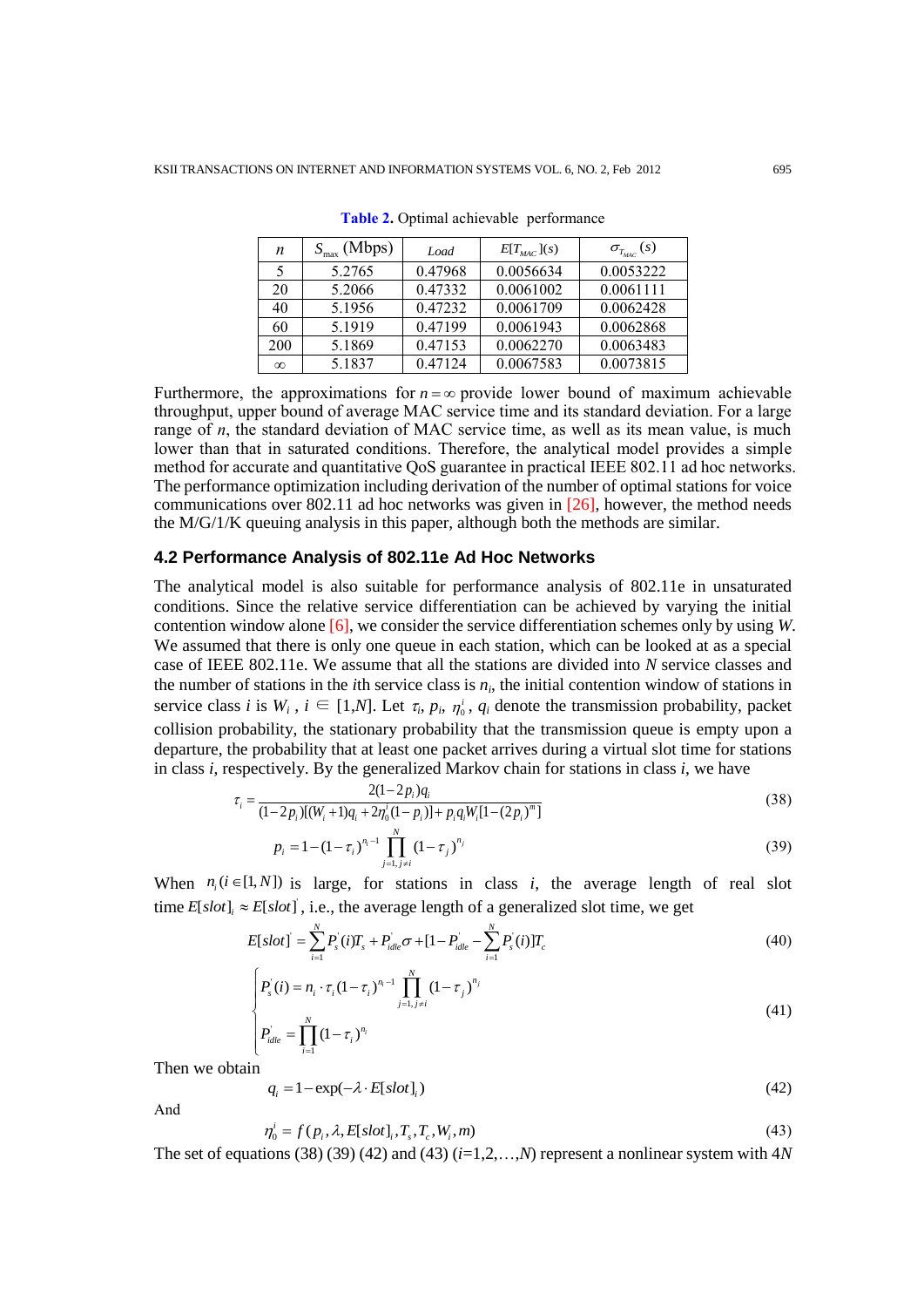| n        | $S_{\text{max}}$ (Mbps) | Load    | $E[T_{\text{MAC}}](s)$ | $\sigma_{T_{MAC}}(s)$ |
|----------|-------------------------|---------|------------------------|-----------------------|
|          | 5.2765                  | 0.47968 | 0.0056634              | 0.0053222             |
| 20       | 5.2066                  | 0.47332 | 0.0061002              | 0.0061111             |
| 40       | 5.1956                  | 0.47232 | 0.0061709              | 0.0062428             |
| 60       | 5.1919                  | 0.47199 | 0.0061943              | 0.0062868             |
| 200      | 5.1869                  | 0.47153 | 0.0062270              | 0.0063483             |
| $\infty$ | 5.1837                  | 0.47124 | 0.0067583              | 0.0073815             |

**Table 2.** Optimal achievable performance

Furthermore, the approximations for  $n = \infty$  provide lower bound of maximum achievable throughput, upper bound of average MAC service time and its standard deviation. For a large range of *n*, the standard deviation of MAC service time, as well as its mean value, is much lower than that in saturated conditions. Therefore, the analytical model provides a simple method for accurate and quantitative QoS guarantee in practical IEEE 802.11 ad hoc networks. The performance optimization including derivation of the number of optimal stations for voice communications over 802.11 ad hoc networks was given in [26], however, the method needs the M/G/1/K queuing analysis in this paper, although both the methods are similar.

#### **4.2 Performance Analysis of 802.11e Ad Hoc Networks**

The analytical model is also suitable for performance analysis of 802.11e in unsaturated conditions. Since the relative service differentiation can be achieved by varying the initial contention window alone [6], we consider the service differentiation schemes only by using *W*. We assumed that there is only one queue in each station, which can be looked at as a special case of IEEE 802.11e. We assume that all the stations are divided into *N* service classes and the number of stations in the *i*th service class is  $n_i$ , the initial contention window of stations in service class *i* is  $W_i$ ,  $i \in [1,N]$ . Let  $\tau_i$ ,  $p_i$ ,  $\eta'_i$ ,  $q_i$  denote the transmission probability, packet collision probability, the stationary probability that the transmission queue is empty upon a departure, the probability that at least one packet arrives during a virtual slot time for stations in class *i*, respectively. By the generalized Markov chain for stations in class *i*, we have  $\tau = \frac{2(1-2p_i)q_i}{\sqrt{1-\frac{p_i}{q_i}}}$ 

$$
\tau_i = \frac{2(1-2p_i)q_i}{(1-2p_i)[(W_i+1)q_i+2\eta_0^i(1-p_i)]+p_iq_iW_i[1-(2p_i)^m]}
$$
\n(38)

$$
p_i = 1 - (1 - \tau_i)^{n_i - 1} \prod_{j=1, j \neq i}^{N} (1 - \tau_j)^{n_j}
$$
\n(39)

When  $n_i$  ( $i \in [1, N]$ ) is large, for stations in class *i*, the average length of real slot time  $E[slot]_i \approx E[slot]$ , i.e., the average length of a generalized slot time, we get

$$
E[slot] \text{ , i.e., the average length of a generalized slot time, we get}
$$
\n
$$
E[slot] = \sum_{i=1}^{N} P_s(i)T_s + P_{idle}\sigma + [1 - P_{idle} - \sum_{i=1}^{N} P_s(i)]T_c
$$
\n
$$
(40)
$$

$$
\begin{cases}\nP_s'(i) = n_i \cdot \tau_i (1 - \tau_i)^{n_i - 1} \prod_{j=1, j \neq i}^N (1 - \tau_j)^{n_j} \\
P_{idle} = \prod_{i=1}^N (1 - \tau_i)^{n_i}\n\end{cases} \tag{41}
$$

Then we obtain

$$
q_i = 1 - \exp(-\lambda \cdot E[slot]_i)
$$
 (42)

And

$$
\eta_0^i = f(p_i, \lambda, E[slot], T_s, T_c, W_i, m)
$$
\n(43)

The set of equations (38) (39) (42) and (43) (*i*=1,2,…,*N*) represent a nonlinear system with 4*N*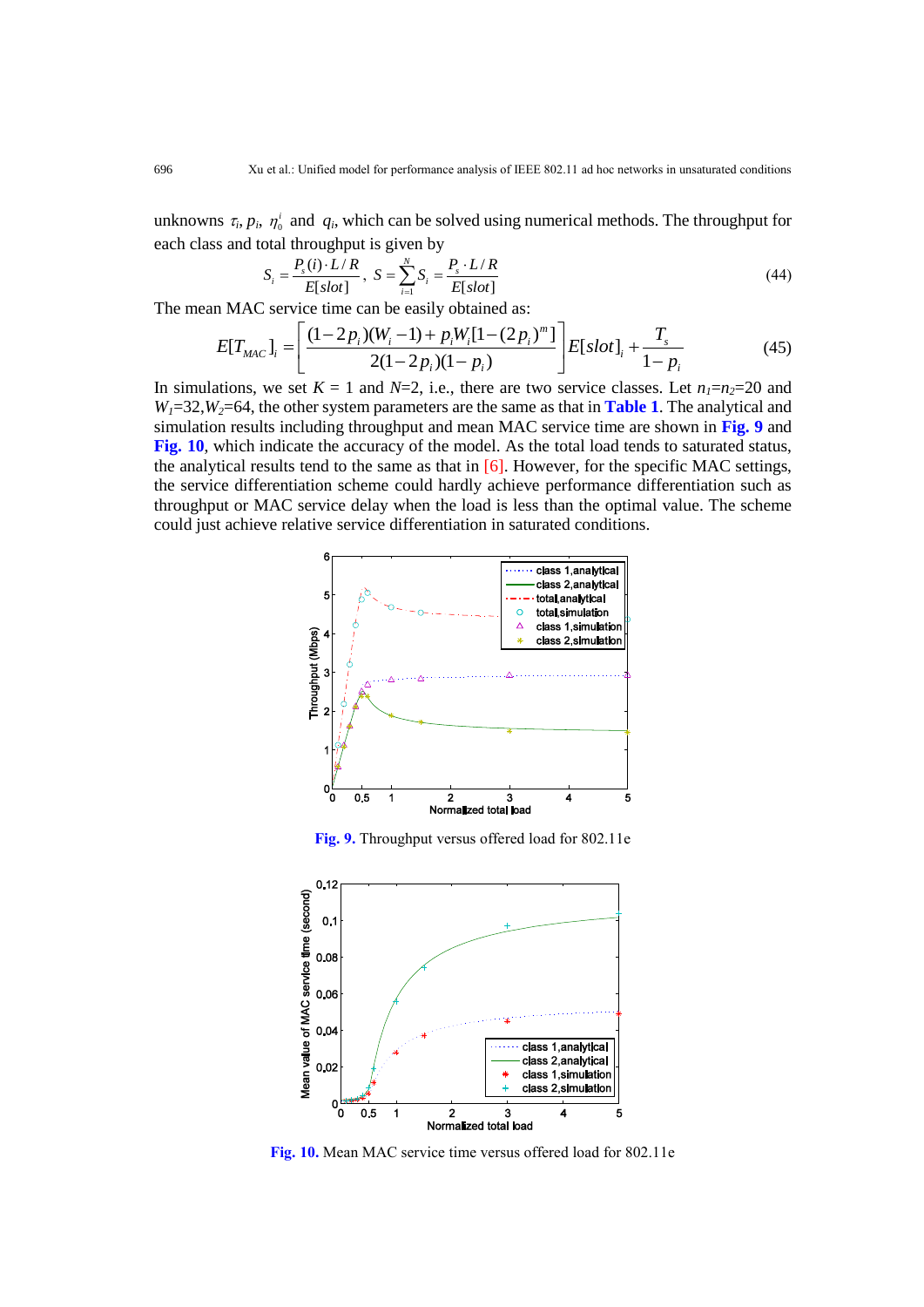unknowns  $\tau_i$ ,  $p_i$ ,  $\eta'_0$  and  $q_i$ , which can be solved using numerical methods. The throughput for each class and total throughput is given by

$$
S_i = \frac{P_s(i) \cdot L/R}{E[slot]}, \ S = \sum_{i=1}^{N} S_i = \frac{P_s \cdot L/R}{E[slot]} \tag{44}
$$

The mean MAC service time can be easily obtained as:

$$
S_i = \frac{E[slot]}{E[slot]}, S = \frac{E[slot]}{E[slot]}
$$
\n
$$
1 \text{ MAC service time can be easily obtained as:}
$$
\n
$$
E[T_{MAC}]_i = \left[ \frac{(1-2p_i)(W_i-1) + p_iW_i[1-(2p_i)^m]}{2(1-2p_i)(1-p_i)} \right] E[slot]_i + \frac{T_s}{1-p_i}
$$
\n
$$
1 \text{ times, we set } K = 1 \text{ and } N = 2 \text{ is, then are given series classes. Let } n = n = 20 \text{ and } N = 3 \text{ is the same series.}
$$
\n(45)

In simulations, we set  $K = 1$  and  $N=2$ , i.e., there are two service classes. Let  $n_1=n_2=20$  and  $W_1 = 32$ ,  $W_2 = 64$ , the other system parameters are the same as that in **Table 1**. The analytical and simulation results including throughput and mean MAC service time are shown in **Fig. 9** and **Fig. 10**, which indicate the accuracy of the model. As the total load tends to saturated status, the analytical results tend to the same as that in  $[6]$ . However, for the specific MAC settings, the service differentiation scheme could hardly achieve performance differentiation such as throughput or MAC service delay when the load is less than the optimal value. The scheme could just achieve relative service differentiation in saturated conditions.



**Fig. 9.** Throughput versus offered load for 802.11e



**Fig. 10.** Mean MAC service time versus offered load for 802.11e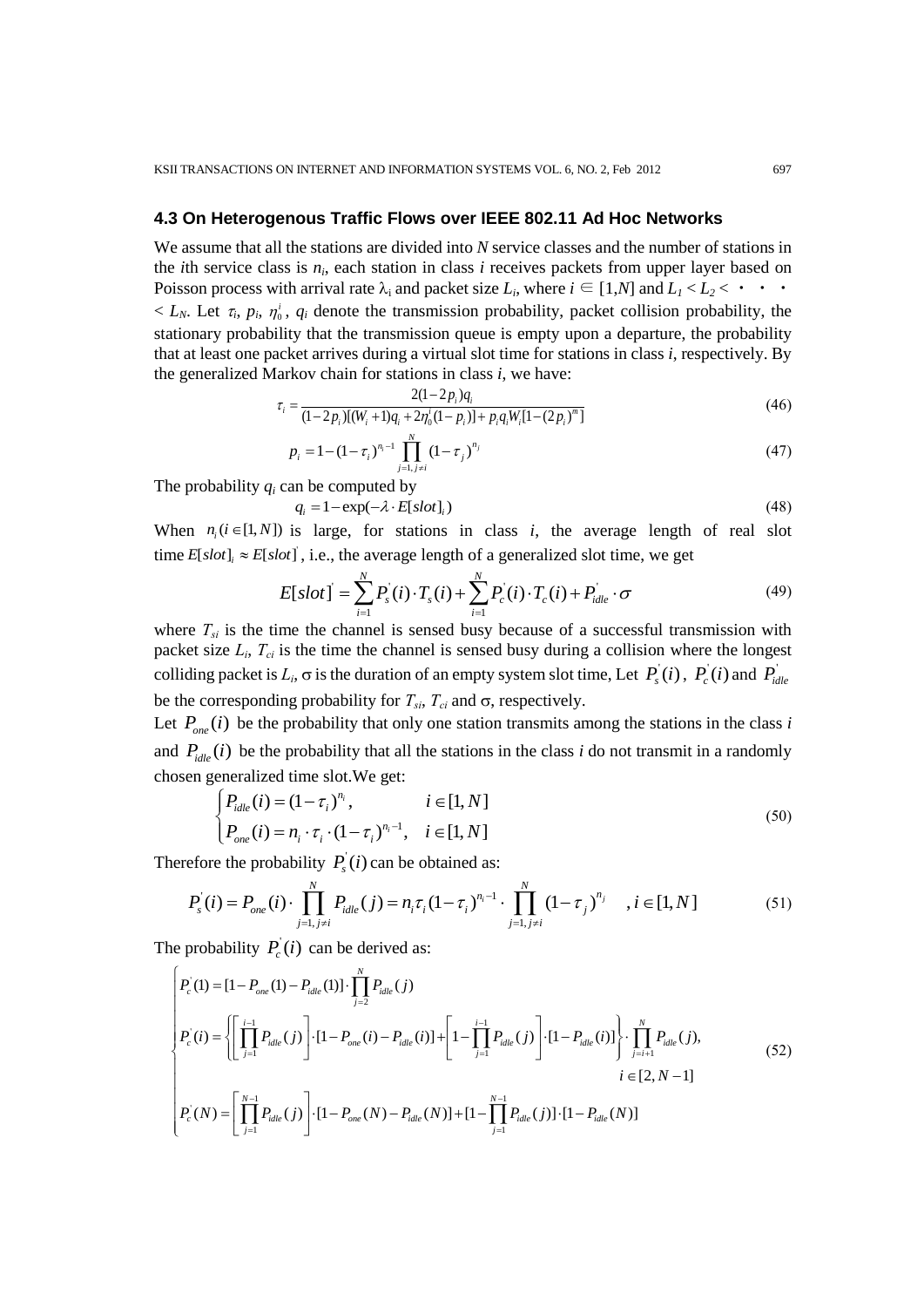# **4.3 On Heterogenous Traffic Flows over IEEE 802.11 Ad Hoc Networks**

We assume that all the stations are divided into *N* service classes and the number of stations in the *i*th service class is *n<sup>i</sup>* , each station in class *i* receives packets from upper layer based on Poisson process with arrival rate  $\lambda_i$  and packet size  $L_i$ , where  $i \in [1,N]$  and  $L_i < L_2 < \cdots$  $\langle L_N$ . Let  $\tau_i$ ,  $p_i$ ,  $\eta'_0$ ,  $q_i$  denote the transmission probability, packet collision probability, the stationary probability that the transmission queue is empty upon a departure, the probability that at least one packet arrives during a virtual slot time for stations in class *i*, respectively. By the generalized Markov chain for stations in class *i*, we have:<br> $\tau = \frac{2(1-2p_i)q_i}{\sqrt{1-2p_i}}$ 

$$
\tau_i = \frac{2(1 - 2p_i)q_i}{(1 - 2p_i)[(W_i + 1)q_i + 2\eta_0^i(1 - p_i)] + p_i q_i W_i [1 - (2p_i)^m]}
$$
(46)

$$
p_i = 1 - (1 - \tau_i)^{n_i - 1} \prod_{j=1, j \neq i}^{N} (1 - \tau_j)^{n_j}
$$
\n(47)

The probability *q<sup>i</sup>* can be computed by

 $q_i = 1 - \exp(-\lambda \cdot E[slot]_i)$ 

$$
(48)
$$

When  $n_i$  ( $i \in [1, N]$ ) is large, for stations in class *i*, the average length of real slot

When 
$$
n_i
$$
 ( $i \in [1, N]$ ) is large, for stations in class *i*, the average length of real slot  
time  $E[slot]_i \approx E[slot]$ , i.e., the average length of a generalized slot time, we get  

$$
E[slot] = \sum_{i=1}^{N} P_s^{\prime}(i) \cdot T_s(i) + \sum_{i=1}^{N} P_c^{\prime}(i) \cdot T_c(i) + P_{idle}^{\prime} \cdot \sigma
$$
(49)

where  $T_{si}$  is the time the channel is sensed busy because of a successful transmission with packet size *L<sup>i</sup>* , *Tci* is the time the channel is sensed busy during a collision where the longest colliding packet is  $L_i$ ,  $\sigma$  is the duration of an empty system slot time, Let  $P_s^i(i)$ ,  $P_c^i(i)$  and  $P_{idle}^i$ be the corresponding probability for  $T_{si}$ ,  $T_{ci}$  and  $\sigma$ , respectively.

Let  $P_{one}(i)$  be the probability that only one station transmits among the stations in the class *i* and  $P_{idle}(i)$  be the probability that all the stations in the class *i* do not transmit in a randomly

chosen generalized time slot. We get:  
\n
$$
\begin{cases}\nP_{idle}(i) = (1 - \tau_i)^{n_i}, & i \in [1, N] \\
P_{one}(i) = n_i \cdot \tau_i \cdot (1 - \tau_i)^{n_i - 1}, & i \in [1, N]\n\end{cases}
$$
\n(50)

Therefore the probability  $P_s(i)$  can be obtained as:

$$
\begin{cases}\n\frac{1}{\text{idle}(v)} & (1 - v_i) \text{ } \text{ } (50) \\
P_{\text{one}}(i) = n_i \cdot \tau_i \cdot (1 - \tau_i)^{n_i - 1}, \quad i \in [1, N]\n\end{cases} \tag{50}
$$
\n
$$
\text{efore the probability } P_s(i) \text{ can be obtained as:}
$$
\n
$$
P_s(i) = P_{\text{one}}(i) \cdot \prod_{j=1, j \neq i}^{N} P_{\text{idle}}(j) = n_i \tau_i (1 - \tau_i)^{n_i - 1} \cdot \prod_{j=1, j \neq i}^{N} (1 - \tau_j)^{n_j}, \quad i \in [1, N] \tag{51}
$$

The probability 
$$
P_c(i)
$$
 can be derived as:  
\n
$$
\begin{aligned}\nP_c'(1) &= [1 - P_{one}(1) - P_{idle}(1)] \cdot \prod_{j=2}^{N} P_{idle}(j) \\
P_c'(i) &= \left\{ \left[ \prod_{j=1}^{i-1} P_{idle}(j) \right] \cdot [1 - P_{one}(i) - P_{idle}(i)] + \left[ 1 - \prod_{j=1}^{i-1} P_{idle}(j) \right] \cdot [1 - P_{idle}(i)] \right\} \cdot \prod_{j=i+1}^{N} P_{idle}(j), \\
P_c'(N) &= \left[ \prod_{j=1}^{N-1} P_{idle}(j) \right] \cdot [1 - P_{one}(N) - P_{idle}(N)] + [1 - \prod_{j=1}^{N-1} P_{idle}(j)] \cdot [1 - P_{idle}(N)]\n\end{aligned}
$$
\n(52)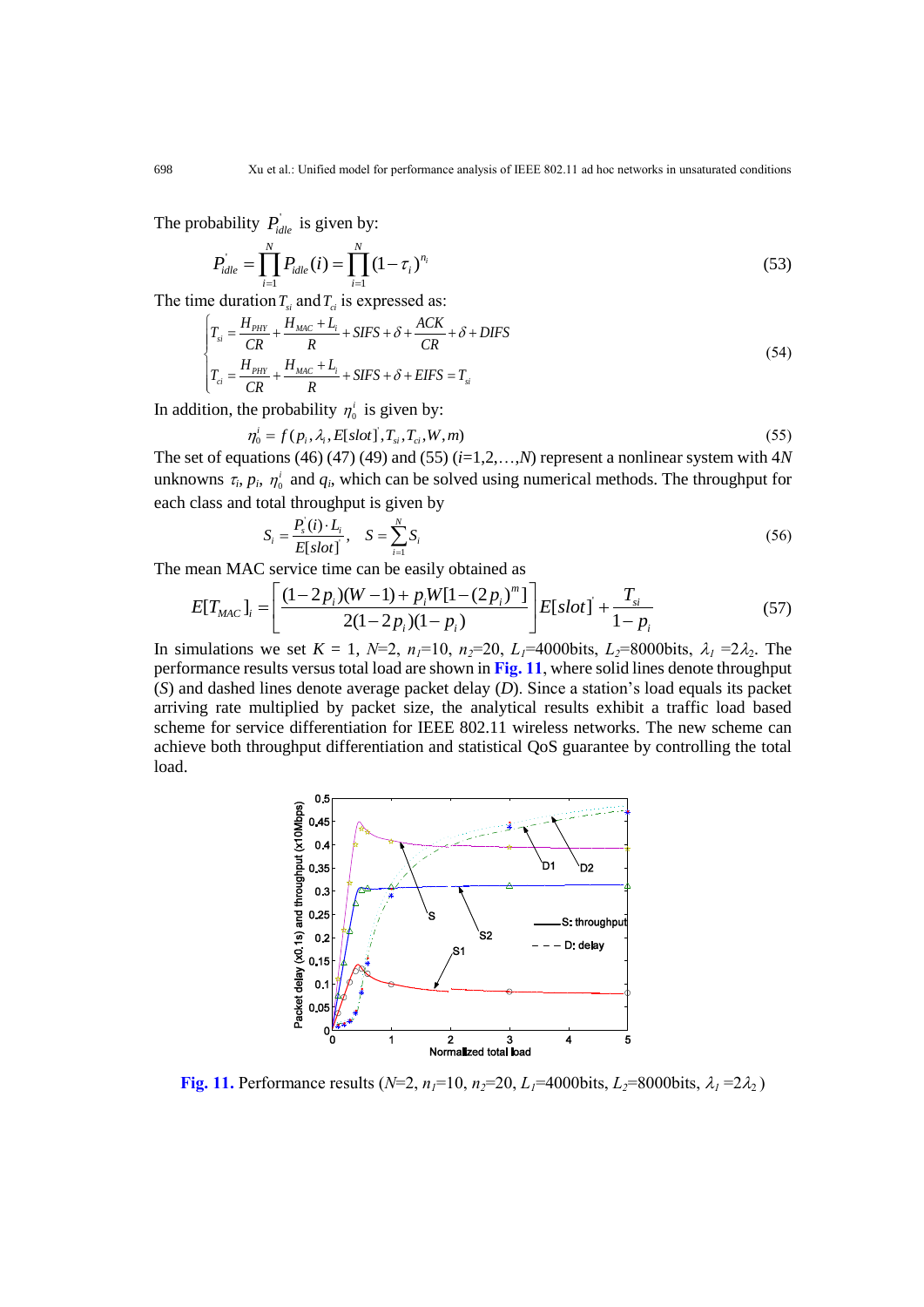The probability  $P_{idle}$  is given by:

$$
P'_{idle} = \prod_{i=1}^{N} P_{idle}(i) = \prod_{i=1}^{N} (1 - \tau_i)^{n_i}
$$
\n(53)

The time duration 
$$
T_{si}
$$
 and  $T_{ci}$  is expressed as:  
\n
$$
\begin{cases}\nT_{si} = \frac{H_{PHY}}{CR} + \frac{H_{MAC} + L_i}{R} + SIFS + \delta + \frac{ACK}{CR} + \delta + DIFS \\
T_{ci} = \frac{H_{PHY}}{CR} + \frac{H_{MAC} + L_i}{R} + SIFS + \delta + EIFS = T_{si}\n\end{cases}
$$
\n(54)

In addition, the probability  $\eta_0^i$  is given by:<br>  $\eta_0^i = f(p_i, \lambda_i, E[slot], T_{si}, T_{ci}, W, m)$ 

$$
\eta_0^i = f(p_i, \lambda_i, E[slot], T_{si}, T_{ci}, W, m)
$$
\n(55)

The set of equations (46) (47) (49) and (55) (*i*=1,2,…,*N*) represent a nonlinear system with 4*N* unknowns  $\tau_i$ ,  $p_i$ ,  $\eta'_0$  and  $q_i$ , which can be solved using numerical methods. The throughput for each class and total throughput is given by

$$
S_i = \frac{P_s^{\dagger}(i) \cdot L_i}{E[\,slot\,]} \,, \quad S = \sum_{i=1}^{N} S_i \tag{56}
$$

The mean MAC service time can be easily obtained as

$$
S_i = \frac{S_i}{E[slot]}, \quad S = \sum_{i=1}^{n} S_i
$$
\nmean MAC service time can be easily obtained as

\n
$$
E[T_{MAC}]_i = \left[ \frac{(1-2p_i)(W-1) + p_i W[1-(2p_i)^m]}{2(1-2p_i)(1-p_i)} \right] E[slot] + \frac{T_{si}}{1-p_i}
$$
\n(57)

\nmulticave set  $K_i = 1$ ,  $M = 2$ ,  $n = 10$ ,  $n = 20$ ,  $I_i = 4000$  bits,  $I_i = 0000$  bits,  $2 = 23$ . The

In simulations we set  $K = 1$ ,  $N=2$ ,  $n_1=10$ ,  $n_2=20$ ,  $L_1=4000$ bits,  $L_2=8000$ bits,  $\lambda_1 = 2\lambda_2$ . The performance results versus total load are shown in **Fig. 11**, where solid lines denote throughput (*S*) and dashed lines denote average packet delay (*D*). Since a station's load equals its packet arriving rate multiplied by packet size, the analytical results exhibit a traffic load based scheme for service differentiation for IEEE 802.11 wireless networks. The new scheme can achieve both throughput differentiation and statistical QoS guarantee by controlling the total load.



**Fig.** 11. Performance results ( $N=2$ ,  $n_1=10$ ,  $n_2=20$ ,  $L_1=4000$ bits,  $L_2=8000$ bits,  $\lambda_1=2\lambda_2$ )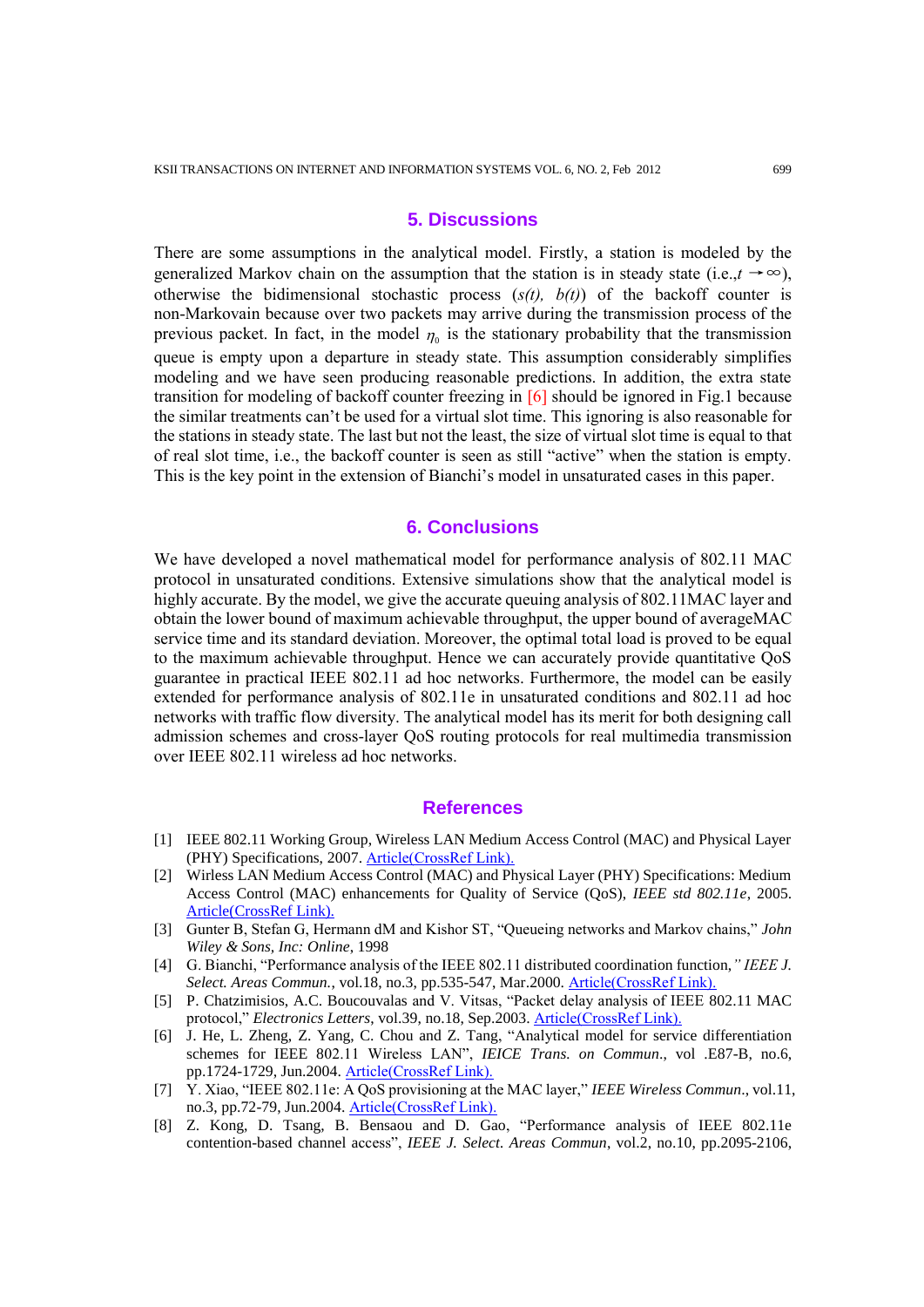## **5. Discussions**

There are some assumptions in the analytical model. Firstly, a station is modeled by the generalized Markov chain on the assumption that the station is in steady state (i.e., $t \rightarrow \infty$ ), otherwise the bidimensional stochastic process (*s(t), b(t)*) of the backoff counter is non-Markovain because over two packets may arrive during the transmission process of the previous packet. In fact, in the model  $\eta_0$  is the stationary probability that the transmission queue is empty upon a departure in steady state. This assumption considerably simplifies modeling and we have seen producing reasonable predictions. In addition, the extra state transition for modeling of backoff counter freezing in [6] should be ignored in Fig.1 because the similar treatments can't be used for a virtual slot time. This ignoring is also reasonable for the stations in steady state. The last but not the least, the size of virtual slot time is equal to that of real slot time, i.e., the backoff counter is seen as still "active" when the station is empty. This is the key point in the extension of Bianchi's model in unsaturated cases in this paper.

#### **6. Conclusions**

We have developed a novel mathematical model for performance analysis of 802.11 MAC protocol in unsaturated conditions. Extensive simulations show that the analytical model is highly accurate. By the model, we give the accurate queuing analysis of 802.11MAC layer and obtain the lower bound of maximum achievable throughput, the upper bound of averageMAC service time and its standard deviation. Moreover, the optimal total load is proved to be equal to the maximum achievable throughput. Hence we can accurately provide quantitative QoS guarantee in practical IEEE 802.11 ad hoc networks. Furthermore, the model can be easily extended for performance analysis of 802.11e in unsaturated conditions and 802.11 ad hoc networks with traffic flow diversity. The analytical model has its merit for both designing call admission schemes and cross-layer QoS routing protocols for real multimedia transmission over IEEE 802.11 wireless ad hoc networks.

### **References**

- [1] IEEE 802.11 Working Group, Wireless LAN Medium Access Control (MAC) and Physical Layer (PHY) Specifications, 2007. [Article\(CrossRef Link\).](http://standards.ieee.org/getieee802/download/802.11-2007.pdf)
- [2] Wirless LAN Medium Access Control (MAC) and Physical Layer (PHY) Specifications: Medium Access Control (MAC) enhancements for Quality of Service (QoS), *IEEE std 802.11e*, 2005. [Article\(CrossRef Link\).](http://ieeexplore.ieee.org/xpl/mostRecentIssue.jsp?punumber=10328)
- <span id="page-16-1"></span>[3] Gunter B, Stefan G, Hermann dM and Kishor ST, "Queueing networks and Markov chains," *John Wiley & Sons, Inc: Online*, 1998
- [4] G. Bianchi, "Performance analysis of the IEEE 802.11 distributed coordination function,*" IEEE J. Select. Areas Commun.*, vol.18, no.3, pp.535-547, Mar.2000. [Article\(CrossRef Link\).](http://dx.doi.org/10.1109/49.840210)
- <span id="page-16-0"></span>[5] P. Chatzimisios, A.C. Boucouvalas and V. Vitsas, "Packet delay analysis of IEEE 802.11 MAC protocol," *Electronics Letters*, vol.39, no.18, Sep.2003. [Article\(CrossRef Link\).](http://dx.doi.org/10.1049/el:20030868)
- [6] J. He, L. Zheng, Z. Yang, C. Chou and Z. Tang, "Analytical model for service differentiation schemes for IEEE 802.11 Wireless LAN", *IEICE Trans. on Commun*., vol .E87-B, no.6, pp.1724-1729, Jun.2004. [Article\(CrossRef Link\).](http://search.ieice.org/bin/summary.php?id=e87-b_6_1724)
- [7] Y. Xiao, "IEEE 802.11e: A QoS provisioning at the MAC layer," *IEEE Wireless Commun*., vol.11, no.3, pp.72-79, Jun.2004. [Article\(CrossRef Link\).](http://dx.doi.org/10.1109/MWC.2004.1308952)
- [8] Z. Kong, D. Tsang, B. Bensaou and D. Gao, "Performance analysis of IEEE 802.11e contention-based channel access", *IEEE J. Select. Areas Commun*, vol.2, no.10, pp.2095-2106,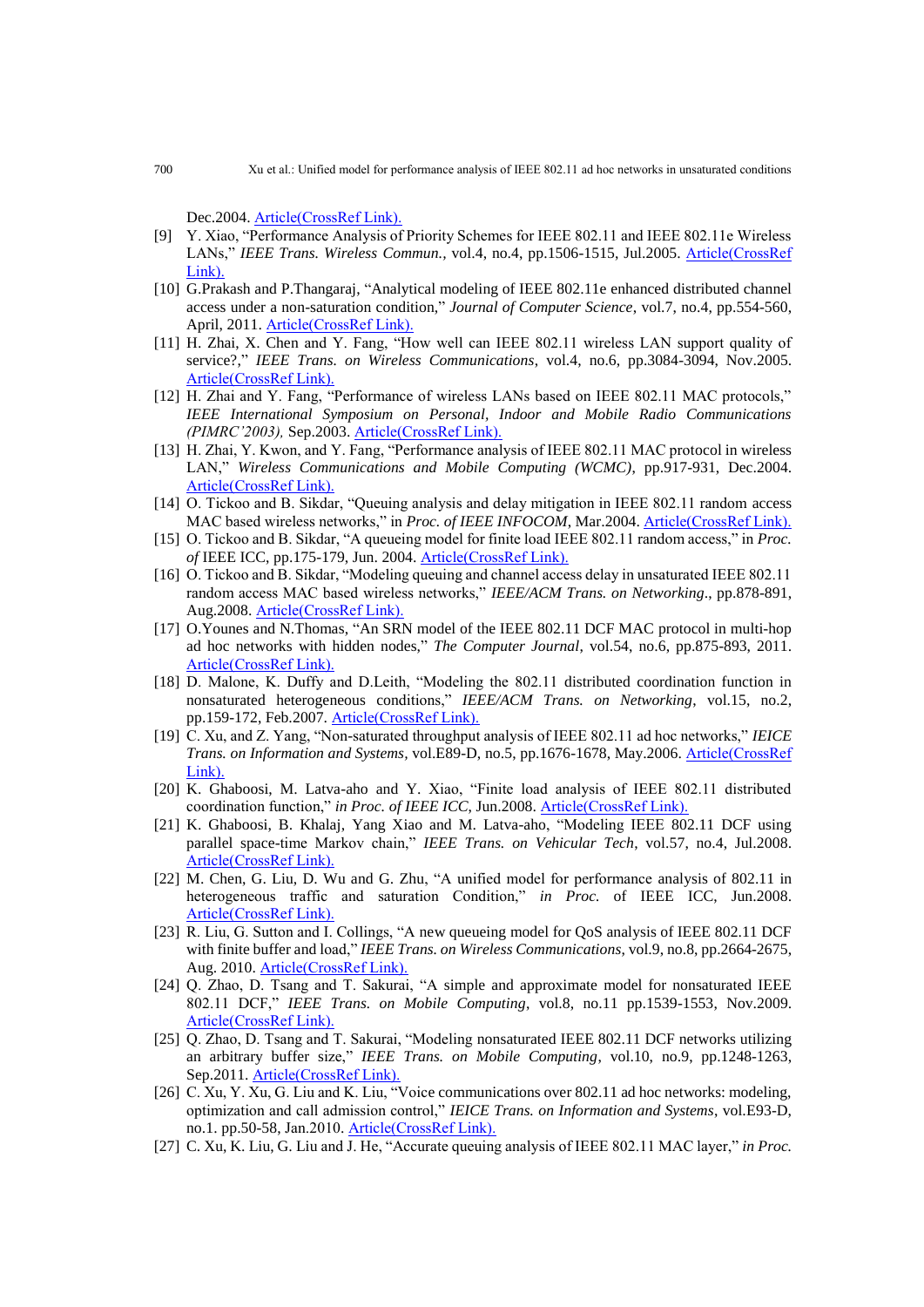Dec.2004. [Article\(CrossRef Link\).](http://dx.doi.org/10.1109/JSAC.2004.836019)

- [9] Y. Xiao, "Performance Analysis of Priority Schemes for IEEE 802.11 and IEEE 802.11e Wireless LANs," *IEEE Trans. Wireless Commun.,* vol.4, no.4, pp.1506-1515, Jul.2005. [Article\(CrossRef](http://dx.doi.org/10.1109/TWC.2005.850328)  [Link\).](http://dx.doi.org/10.1109/TWC.2005.850328)
- [10] G.Prakash and P.Thangaraj, "Analytical modeling of IEEE 802.11e enhanced distributed channel access under a non-saturation condition," *Journal of Computer Science*, vol.7, no.4, pp.554-560, April, 2011. [Article\(CrossRef Link\).](http://dx.doi.org/10.3844/jcssp.2011.554.560)
- [11] H. Zhai, X. Chen and Y. Fang, "How well can IEEE 802.11 wireless LAN support quality of service?," *IEEE Trans. on Wireless Communications*, vol.4, no.6, pp.3084-3094, Nov.2005. [Article\(CrossRef Link\).](http://dx.doi.org/10.1109/TWC.2005.857994)
- [12] H. Zhai and Y. Fang, "Performance of wireless LANs based on IEEE 802.11 MAC protocols," *IEEE International Symposium on Personal, Indoor and Mobile Radio Communications (PIMRC'2003),* Sep.2003. [Article\(CrossRef Link\).](http://dx.doi.org/10.1109/PIMRC.2003.1259194)
- [13] H. Zhai, Y. Kwon, and Y. Fang, "Performance analysis of IEEE 802.11 MAC protocol in wireless LAN," *Wireless Communications and Mobile Computing (WCMC)*, pp.917-931, Dec.2004. [Article\(CrossRef Link\).](http://dx.doi.org/10.1002/wcm.263)
- [14] O. Tickoo and B. Sikdar, "Queuing analysis and delay mitigation in IEEE 802.11 random access MAC based wireless networks," in *Proc. of IEEE INFOCOM*, Mar.2004. [Article\(CrossRef Link\).](http://dx.doi.org/10.1109/INFCOM.2004.1357025)
- [15] O. Tickoo and B. Sikdar, "A queueing model for finite load IEEE 802.11 random access," in *Proc. of* IEEE ICC, pp.175-179, Jun. 2004. [Article\(CrossRef Link\).](http://dx.doi.org/10.1109/ICC.2004.1312475)
- [16] O. Tickoo and B. Sikdar, "Modeling queuing and channel access delay in unsaturated IEEE 802.11 random access MAC based wireless networks," *IEEE/ACM Trans. on Networking*., pp.878-891, Aug.2008. [Article\(CrossRef Link\).](http://dx.doi.org/10.1109/TNET.2007.904010)
- [17] O.Younes and N.Thomas, "An SRN model of the IEEE 802.11 DCF MAC protocol in multi-hop ad hoc networks with hidden nodes," *The Computer Journal*, vol.54, no.6, pp.875-893, 2011. [Article\(CrossRef Link\).](http://dx.doi.org/10.1093/comjnl/bxr009)
- [18] D. Malone, K. Duffy and D.Leith, "Modeling the 802.11 distributed coordination function in nonsaturated heterogeneous conditions," *IEEE/ACM Trans. on Networking*, vol.15, no.2, pp.159-172, Feb.2007. [Article\(CrossRef Link\).](http://dx.doi.org/10.1109/TNET.2006.890136)
- [19] C. Xu, and Z. Yang, "Non-saturated throughput analysis of IEEE 802.11 ad hoc networks," *IEICE Trans. on Information and Systems,* vol.E89-D, no.5, pp.1676-1678, May.2006. [Article\(CrossRef](http://dx.doi.org/10.1093/ietisy/e89-d.5.1676)  [Link\).](http://dx.doi.org/10.1093/ietisy/e89-d.5.1676)
- [20] K. Ghaboosi, M. Latva-aho and Y. Xiao, "Finite load analysis of IEEE 802.11 distributed coordination function," *in Proc. of IEEE ICC*, Jun.2008. [Article\(CrossRef Link\).](http://dx.doi.org/10.1109/ICC.2008.485)
- [21] K. Ghaboosi, B. Khalaj, Yang Xiao and M. Latva-aho, "Modeling IEEE 802.11 DCF using parallel space-time Markov chain," *IEEE Trans. on Vehicular Tech*, vol.57, no.4, Jul.2008. [Article\(CrossRef Link\).](http://dx.doi.org/10.1109/TVT.2007.909304)
- [22] M. Chen, G. Liu, D. Wu and G. Zhu, "A unified model for performance analysis of 802.11 in heterogeneous traffic and saturation Condition," *in Proc.* of IEEE ICC, Jun.2008. [Article\(CrossRef Link\).](http://dx.doi.org/10.1109/ICC.2008.500)
- [23] R. Liu, G. Sutton and I. Collings, "A new queueing model for QoS analysis of IEEE 802.11 DCF with finite buffer and load," *IEEE Trans. on Wireless Communications*, vol.9, no.8, pp.2664-2675, Aug. 2010. [Article\(CrossRef Link\).](http://dx.doi.org/10.1109/TWC.2010.061010.091803)
- [24] Q. Zhao, D. Tsang and T. Sakurai, "A simple and approximate model for nonsaturated IEEE 802.11 DCF," *IEEE Trans. on Mobile Computing*, vol.8, no.11 pp.1539-1553, Nov.2009. [Article\(CrossRef Link\).](http://dx.doi.org/10.1109/TMC.2009.69)
- [25] Q. Zhao, D. Tsang and T. Sakurai, "Modeling nonsaturated IEEE 802.11 DCF networks utilizing an arbitrary buffer size," *IEEE Trans. on Mobile Computing*, vol.10, no.9, pp.1248-1263, Sep.2011. [Article\(CrossRef Link\).](http://dx.doi.org/10.1109/TMC.2010.258)
- [26] C. Xu, Y. Xu, G. Liu and K. Liu, "Voice communications over 802.11 ad hoc networks: modeling, optimization and call admission control," *IEICE Trans. on Information and Systems*, vol.E93-D, no.1. pp.50-58, Jan.2010. [Article\(CrossRef Link\).](http://dx.doi.org/)
- [27] C. Xu, K. Liu, G. Liu and J. He, "Accurate queuing analysis of IEEE 802.11 MAC layer," *in Proc.*